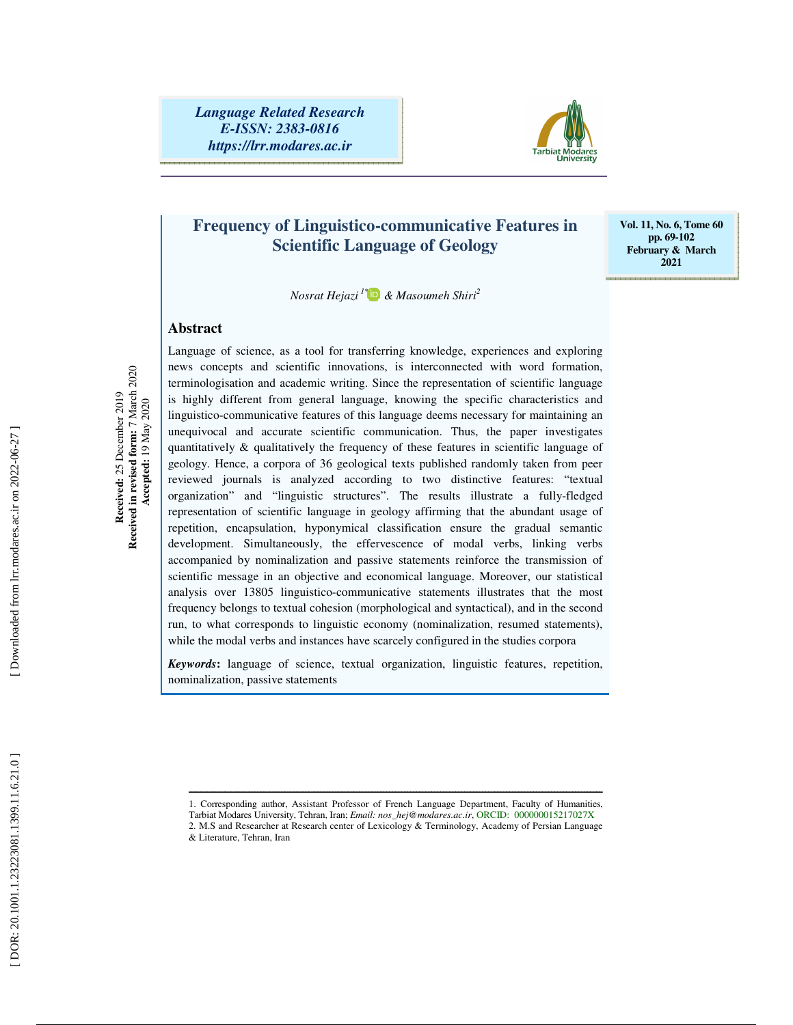*Language Related Research E-ISSN: 2383-0816 https://lrr.modares.ac.ir*



## **Frequency of Linguistico-communicative Features in Scientific Language of Geology**

**Vol. 11, No. 6, Tome 60 pp. 69-102 February & March 2021** 

*Nosrat Hejazi<sup>1</sup>* \*  *& Masoumeh Shiri 2*

#### **Abstract**

Received in revised form: 7 March 2020 **Received in revised form:** 7 March 2020 Received: 25 December 2019 **Received:** 25 December 2019 Accepted: 19 May 2020  **Accepted:** 19 May 2020 Language of science, as a tool for transferring knowledge, experiences and exploring news concepts and scientific innovations, is interconnected with word formation, terminologisation and academic writing. Since the representation of scientific language is highly different from general language, knowing the specific characteristics and linguistico-communicative features of this language deems necessary for maintaining an unequivocal and accurate scientific communication. Thus, the paper investigates quantitatively & qualitatively the frequency of these features in scientific language of geology. Hence, a corpora of 36 geological texts published randomly taken from peer reviewed journals is analyzed according to two distinctive features: "textual organization" and "linguistic structures". The results illustrate a fully-fledged representation of scientific language in geology affirming that the abundant usage of repetition, encapsulation, hyponymical classification ensure the gradual semantic development. Simultaneously, the effervescence of modal verbs, linking verbs accompanied by nominalization and passive statements reinforce the transmission of scientific message in an objective and economical language. Moreover, our statistical analysis over 13805 linguistico-communicative statements illustrates that the most frequency belongs to textual cohesion (morphological and syntactical), and in the second run, to what corresponds to linguistic economy (nominalization, resumed statements), while the modal verbs and instances have scarcely configured in the studies corpora

*Keywords***:** language of science, textual organization, linguistic features, repetition, nominalization, passive statements

ــــــــــــــــــــــــــــــــــــــــــــــــــــــــــــــــــــــــــــــــــــــــــــــــــــــــــــــــــــــــــــــــــــــــــ 1. Corresponding author, Assistant Professor of French Language Department, Faculty of Humanities,

Tarbiat Modares University, Tehran, Iran; *Email: nos\_hej@modares.ac.ir*, ORCID: 000000015217027X

<sup>2.</sup> M.S and Researcher at Research center of Lexicology & Terminology, Academy of Persian Language & Literature, Tehran, Iran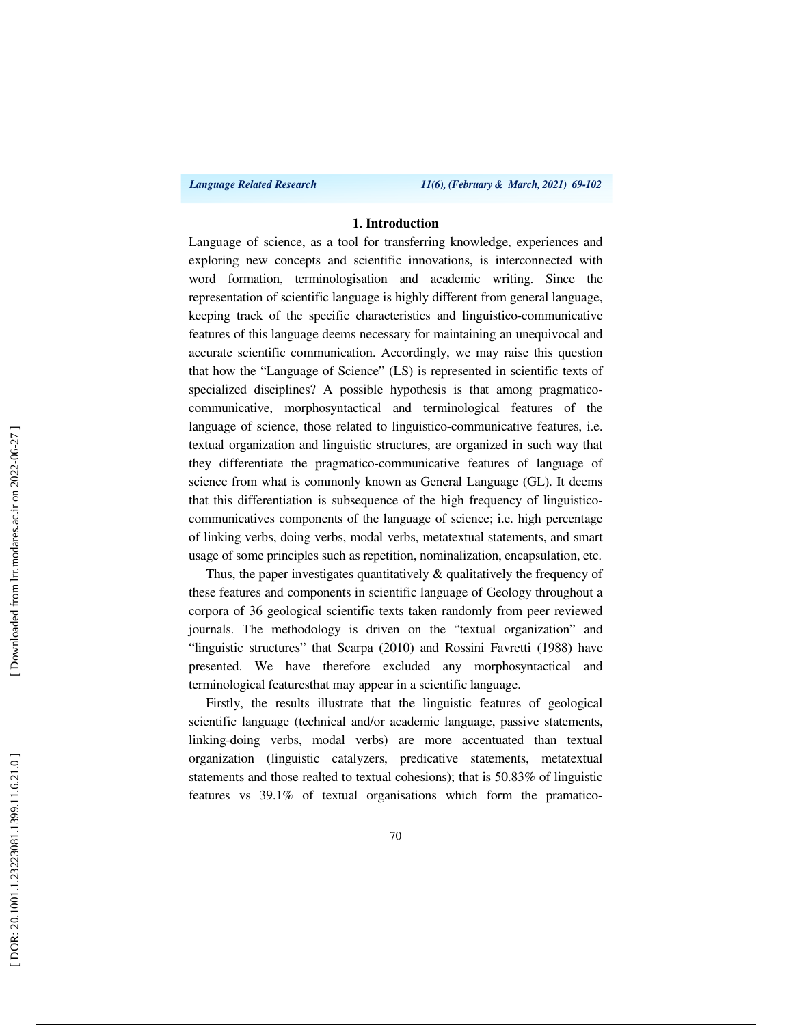*Language Related Research 11(6), (February & March, 2021) 69-102*

#### **1. Introduction**

Language of science, as a tool for transferring knowledge, experiences and exploring new concepts and scientific innovations, is interconnected with word formation, terminologisation and academic writing. Since the representation of scientific language is highly different from general language, keeping track of the specific characteristics and linguistico-communicative features of this language deems necessary for maintaining an unequivocal and accurate scientific communication. Accordingly, we may raise this question that how the "Language of Science" (LS) is represented in scientific texts of specialized disciplines? A possible hypothesis is that among pragmaticocommunicative, morphosyntactical and terminological features of the language of science, those related to linguistico-communicative features, i.e. textual organization and linguistic structures, are organized in such way that they differentiate the pragmatico-communicative features of language of science from what is commonly known as General Language (GL). It deems that this differentiation is subsequence of the high frequency of linguisticocommunicatives components of the language of science; i.e. high percentage of linking verbs, doing verbs, modal verbs, metatextual statements, and smart usage of some principles such as repetition, nominalization, encapsulation, etc.

Thus, the paper investigates quantitatively & qualitatively the frequency of these features and components in scientific language of Geology throughout a corpora of 36 geological scientific texts taken randomly from peer reviewed journals. The methodology is driven on the "textual organization" and "linguistic structures" that Scarpa (2010) and Rossini Favretti (1988) have presented. We have therefore excluded any morphosyntactical and terminological featuresthat may appear in a scientific language.

Firstly, the results illustrate that the linguistic features of geological scientific language (technical and/or academic language, passive statements, linking-doing verbs, modal verbs) are more accentuated than textual organization (linguistic catalyzers, predicative statements, metatextual statements and those realted to textual cohesions); that is 50.83% of linguistic features vs 39.1% of textual organisations which form the pramatico-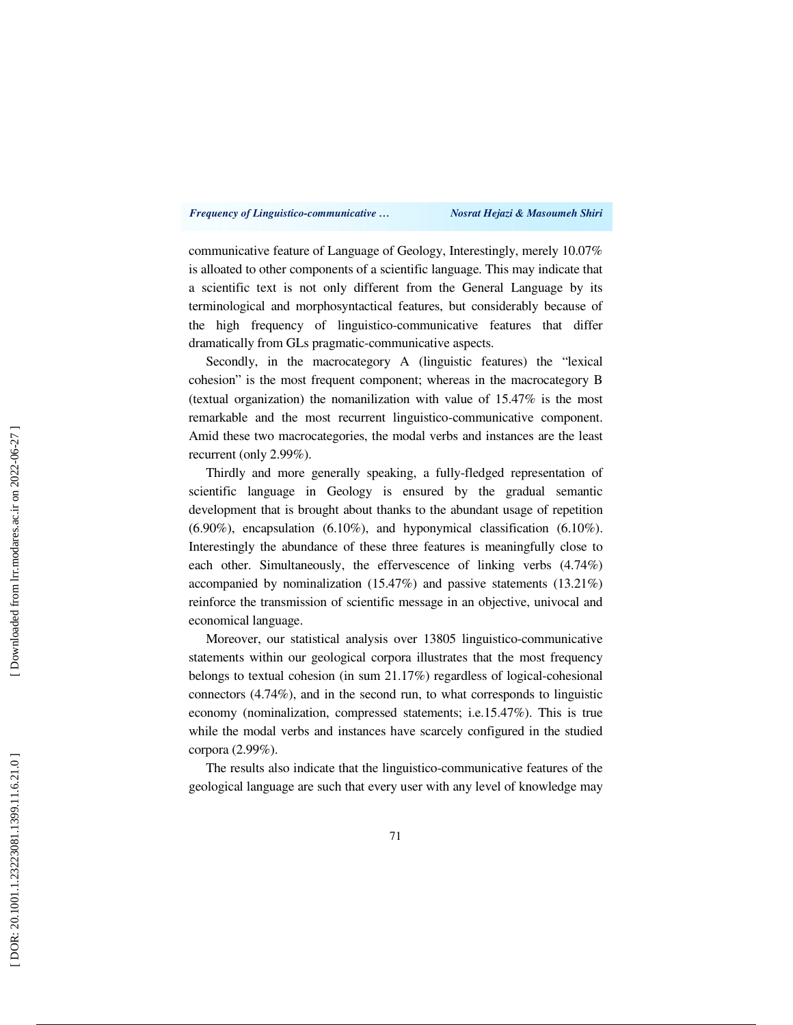#### *Frequency of Linguistico-communicative … Nosrat Hejazi & Masoumeh Shiri*

communicative feature of Language of Geology, Interestingly, merely 10.07% is alloated to other components of a scientific language. This may indicate that a scientific text is not only different from the General Language by its terminological and morphosyntactical features, but considerably because of the high frequency of linguistico-communicative features that differ dramatically from GLs pragmatic-communicative aspects.

Secondly, in the macrocategory A (linguistic features) the "lexical cohesion" is the most frequent component; whereas in the macrocategory B (textual organization) the nomanilization with value of 15.47% is the most remarkable and the most recurrent linguistico-communicative component. Amid these two macrocategories, the modal verbs and instances are the least recurrent (only 2.99%).

Thirdly and more generally speaking, a fully-fledged representation of scientific language in Geology is ensured by the gradual semantic development that is brought about thanks to the abundant usage of repetition (6.90%), encapsulation (6.10%), and hyponymical classification (6.10%). Interestingly the abundance of these three features is meaningfully close to each other. Simultaneously, the effervescence of linking verbs (4.74%) accompanied by nominalization (15.47%) and passive statements (13.21%) reinforce the transmission of scientific message in an objective, univocal and economical language.

Moreover, our statistical analysis over 13805 linguistico-communicative statements within our geological corpora illustrates that the most frequency belongs to textual cohesion (in sum 21.17%) regardless of logical-cohesional connectors (4.74%), and in the second run, to what corresponds to linguistic economy (nominalization, compressed statements; i.e.15.47%). This is true while the modal verbs and instances have scarcely configured in the studied corpora (2.99%).

The results also indicate that the linguistico-communicative features of the geological language are such that every user with any level of knowledge may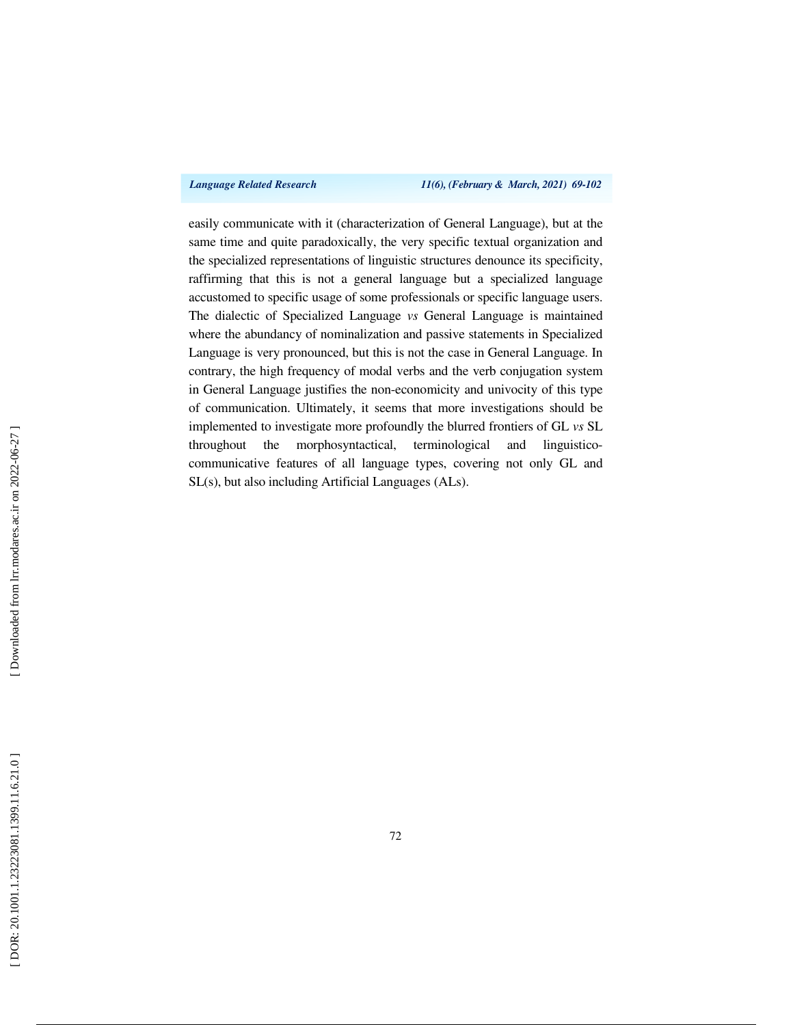*Language Related Research 11(6), (February & March, 2021) 69-102*

easily communicate with it (characterization of General Language), but at the same time and quite paradoxically, the very specific textual organization and the specialized representations of linguistic structures denounce its specificity, raffirming that this is not a general language but a specialized language accustomed to specific usage of some professionals or specific language users. The dialectic of Specialized Language *vs* General Language is maintained where the abundancy of nominalization and passive statements in Specialized Language is very pronounced, but this is not the case in General Language. In contrary, the high frequency of modal verbs and the verb conjugation system in General Language justifies the non-economicity and univocity of this type of communication. Ultimately, it seems that more investigations should be implemented to investigate more profoundly the blurred frontiers of GL *vs* SL throughout the morphosyntactical, terminological and linguisticocommunicative features of all language types, covering not only GL and SL(s), but also including Artificial Languages (ALs).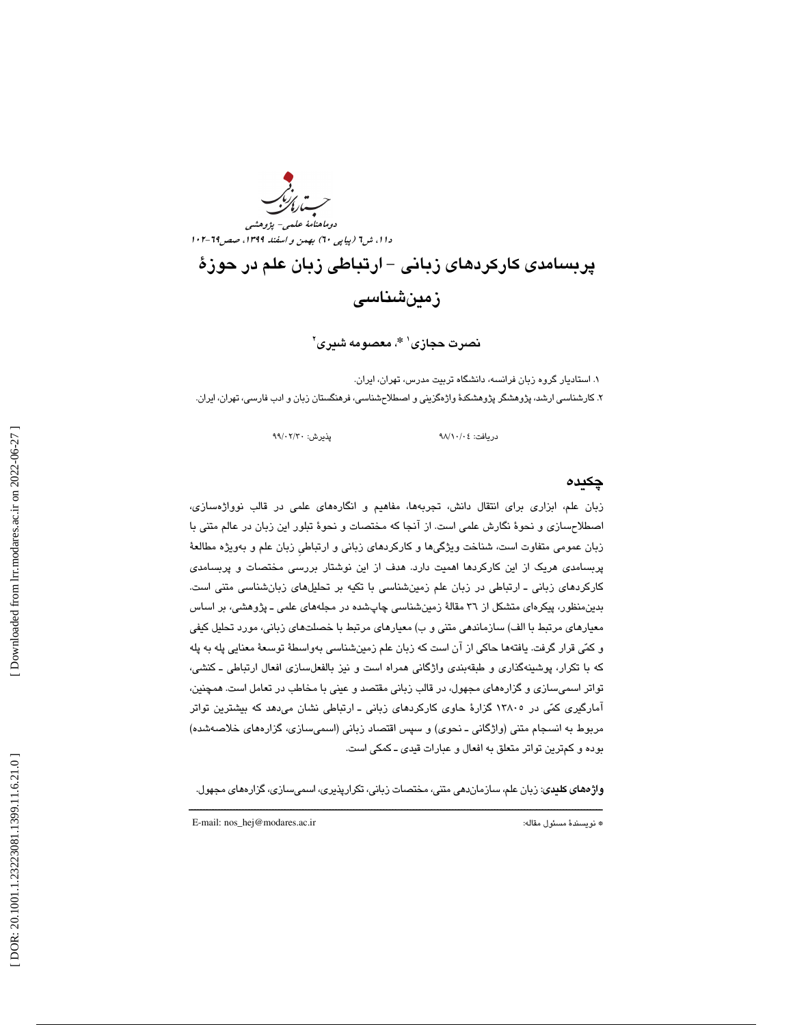دوماهنامه علمی- پژوهشی<br>دا ۱، ش<sup>۲</sup>۱ (پیاپی ۲۰) بهمن و *اسفند ۱۳۹۹، صص*۲۹-۱۰۲ دوماهنامة علمي- پژوهشي

پربسامدي كاركردهاي زباني - ارتباطي زبان علم در حوزة زمينشناسي

نصرت حجازي **\***، معصومه شيري <sup>1</sup> 2

. 1 استاديار گروه زبان فرانسه ، دانشگاه تربيت مدرس، تهران، ايران. . 2 كارشناسي ارشد ، پژوهشگر پژوهشكدة واژهگزيني و اصطلاحشناسي ، فرهنگستان زبان و ادب فارسي، تهران، ايران.

دريافت: 04/ 10/ 98 پذيرش: 30/ 02/ 99

## چكيده

زبان علم، ابزاری برای انتقال دانش، تجربهها، مفاهیم و انگارههای علمی در قالب نوواژهسازی، اصطلاحسازي و نحوة نگارش علمي است. از آنجا كه مختصات و نحوة تبلور اين زبان در عالم متني با زبان عمومي متفاوت است، شناخت ويژگيها و كاركردهاي زباني و ارتباطيِ زبان علم و بهويژه مطالعة پربسامدي هريك از اين كاركردها اهميت دارد. هدف از اين نوشتار بررسي مختصات و پربسامدي كاركردهاي زباني ـ ارتباطي در زبان علم زمينشناسي با تكيه بر تحليلهاي زبانشناسي متني است. بدينمنظور، پيكرهاي متشكل از 36 مقالة زمينشناسي چاپشده در مجلههاي علمي ـ پژوهشي، بر اساس معيارهاي مرتبط با الف) سازماندهي متني و ب) معيارهاي مرتبط با خصلتهاي زباني، مورد تحليل كيفي و كمي قرار گرفت. يافتهها حاكي از آن است كه زبان علم زمينشناسي به واسطة توسعة معنايي پله به پله كه با تكرار، پوشينهگذاري و طبقهبندي واژگاني همراه است و نيز بالفعلسازي افعال ارتباطي ـ كنشي، تواتر اسميسازي و گزارههاي مجهول، در قالب زباني مقتصد و عيني با مخاطب در تعامل است. همچنين، آمارگيري كمي در 13805 گزارة حاوي كاركردهاي زباني ـ ارتباطي نشان ميدهد كه بيشترين تواتر مربوط به انسجام متني (واژگاني ـ نحوي) و سپس اقتصاد زباني (اسميسازي، گزارههاي خلاصهشده) بوده و كمترين تواتر متعلق به افعال و عبارات قيدي ـ كمكي است.

ــــــــــــــــــــــــــــــــــــــــــــــــــــــــــــــــــــــــــــــــــــــــــــــــــــــــــــــــــــــــــــــــــــــــــ واژههاي كليدي: زبان علم، سازماندهي متني، مختصات زباني، تكرارپذيري، اسميسازي، گزارههاي مجهول.

E-mail: nos\_hej@modares.ac.ir :مقاله مسئول نويسندة\*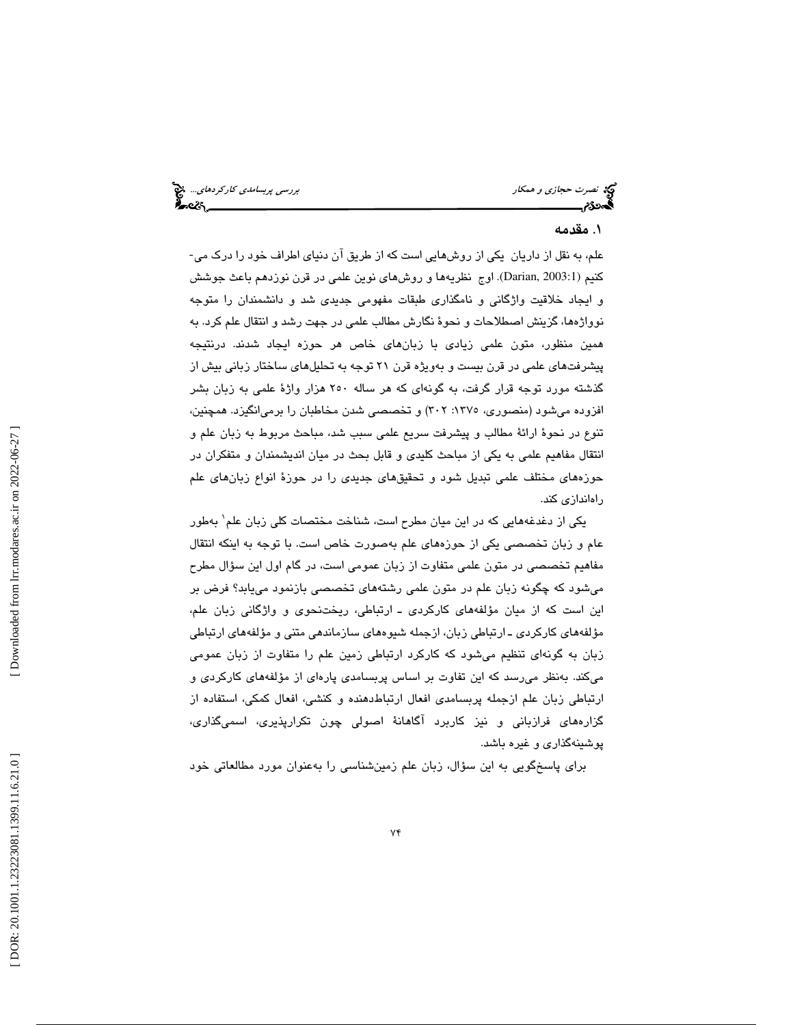نصرت حجازي و همكار بررسي پربسامدي كاركردهاي...

#### 1. مقدمه

علم، به نقل از داريان يكي از روشهايي است كه از طريق آن دنياي اطراف خود را درك مي- كنيم (Darian, 2003:1). اوج نظريهها و روشهاي نوين علمي در قرن نوزدهم باعث جوشش و ايجاد خلاقيت واژگاني و نامگذاري طبقات مفهومي جديدي شد و دانشمندان را متوجه ،ها نوواژه گزينش اصطلاحات و نحوة نگارش مطالب علمي در جهت رشد و انتقال علم كرد. به همين منظور، متون علمي زيادي با زبانهاي خاص هر حوزه ايجاد شدند. درنتيجه پيشرفتهاي علمي در قرن بيست و بهويژه قرن 21 توجه به تحليلهاي ساختار زبا ني بيش از گذشته مورد توجه قرار گرفت، به گونهاي كه هر ساله 250 هزار واژة علمي به زبان بشر افزوده ميشود ( منصوري، :1375 302 ) و تخصصي شدن مخاطبان را برميانگيزد. همچنين، تنوع در نحوة ارائة مطالب و پيشرفت سريع علمي سبب شد، مباحث مربوط به زبان علم و انتقال مفاهيم علمي به يكي از مباحث كليدي و قابل بحث در ميان انديشمندان و متفكران در حوزههاي مختلف علمي تبديل شود و تحقيقهاي جديدي را در حوزة انواع زبانهاي علم راهاندازي كند .

یکی از دغدغههایی که در این میان مطرح است، شناخت مختصات کلی زبان علم` بهطور عام و زبان تخصصي يكي از حوزههاي علم بهصورت خاص است. با توجه به اينكه انتقال مفاهيم تخصصي در متون علمي متفاوت از زبان عمومي است، در گام اول اين سؤال مطرح ميشود كه چگونه زبان علم در متون علمي رشتههاي تخصصي بازنمود مييابد؟ فرض بر اين است كه از ميان مؤلفههاي كاركردي ـ ارتباطي، ريختنحوي و واژگاني زبان علم، مؤلفههاي كاركردي ـ ارتباطي زبان، ازجمله شيوههاي سازماندهي متني و مؤلفههاي ارتباطي زبان به گونهاي تنظيم ميشود كه كاركرد ارتباطي زمين علم را متفاوت از زبان عمومي ميكند. بهنظر ميرسد كه اين تفاوت بر اساس پربسامدي پارهاي از مؤلفههاي كاركردي و ارتباطي زبان علم ازجمله پربسامدي افعال ارتباطدهنده و كنشي، افعال كمكي، استفاده از گزارههاي فرازباني و نيز كاربرد آگاهانة اصولي چون تكرارپذيري، اسميگذاري، پوشينهگذاري و غيره باشد.

براي پاسخگويي به اين سؤال، زبان علم زمينشناسي را بهعنوان مورد مطالعاتي خود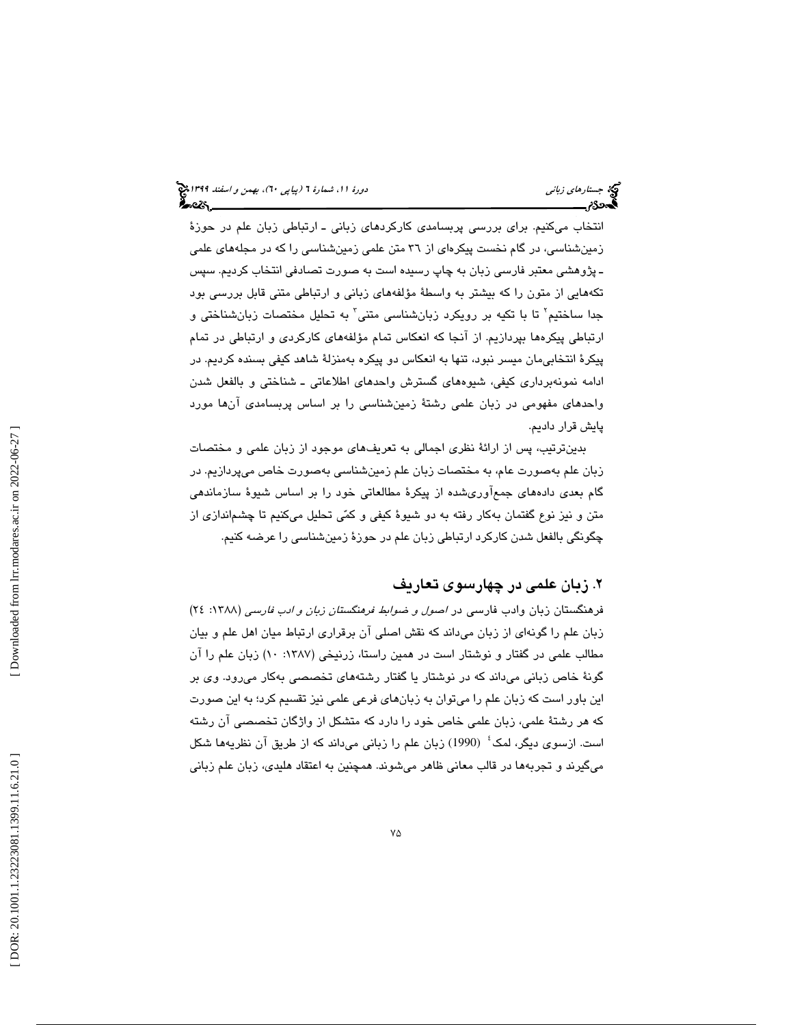انتخاب ميكنيم. براي بررسي پربسامدي كاركردهاي زباني ـ ارتباطي زبان علم در حوزة زمينشناسي، در گام نخست پيكرهاي از 36 متن علمي زمينشناسي را كه در مجلههاي علمي ـ پژوهشي معتبر فارسي زبان به چاپ رسيده است به صورت تصادفي انتخاب كرديم. سپس تكههايي از متون را كه بيشتر به واسطة مؤلفههاي زباني و ارتباطي متني قابل بررسي بود جدا ساختيم` تا با تكيه بر رويكرد زبانشناسى متنى` به تحليل مختصات زبانشناختى و ارتباطي پيكرهها بپردازيم. از آنجا كه انعكاس تمام مؤلفههاي كاركردي و ارتباطي در تمام پيكرة انتخابيمان ميسر نبود، تنها به انعكاس دو پيكره بهمنزلة شاهد كيفي بسنده كرديم. در ادامه نمونهبرداري كيفي، شيوههاي گسترش واحدهاي اطلاعاتي ـ شناختي و بالفعل شدن واحدهاي مفهومي در زبان علمي رشتة زمينشناسي را بر اساس پربسامدي آنها مورد پايش قرار داديم.

بدينترتيب، پس از ارائة نظري اجمالي به تعريفهاي موجود از زبان علمي و مختصات زبان علم بهصورت عام، به مختصات زبان علم زمينشناسي بهصورت خاص ميپردازيم. در گام بعدي دادههاي جمعآوريشده از پيكرة مطالعاتي خود را بر اساس شيوة سازماندهي متن و نيز نوع گفتمان بهكار رفته به دو شيوة كيفي و كمي تحليل ميكنيم تا چشماندازي از چگونگي بالفعل شدن كاركرد ارتباطي زبان علم در حوزة زمينشناسي را عرضه كنيم.

## 2. زبان علمي در چهارسوي تعاريف

فرهنگستان زبان وادب فارسی در *اصول و ضوابط فرهنگستان زبان و ادب فارسی* (۱۳۸۸: ۲٤) زبان علم را گونهاي از زبان ميداند كه نقش اصلي آن برقراري ارتباط ميان اهل علم و بيان مطالب علمي در گفتار و نوشتار است در همين راستا، زرنيخي (١٣٨٧: ١٠) زبان علم را آن گونة خاص زباني ميداند كه در نوشتار يا گفتار رشتههاي تخصصي بهكار ميرود. وي بر اين باور است كه زبان علم را ميتوان به زبانهاي فرعي علمي نيز تقسيم كرد ؛ به اين صورت كه هر رشتة علمي ، زبان علمي خاص خود را دارد كه متشكل از واژگان تخصصي آن رشته است. ازسوی دیگر، لمک<sup>؛</sup> (1990) زبان علم را زبانی میداند که از طریق آن نظریهها شکل 2 ميگيرند و تجربهها در قالب معاني ظاهر ميشوند. همچنين به اعتقاد هليدي، زبان علم زباني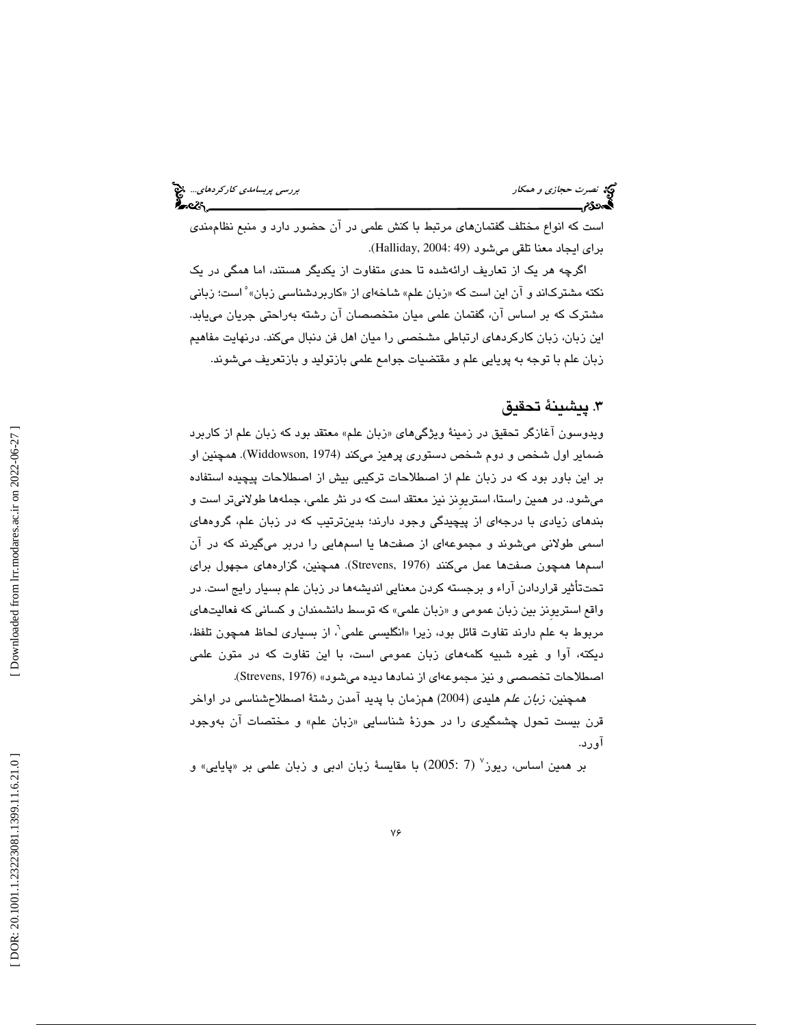نصرت حجازي و همكار بررسي پربسام*دي كاركردهاي..*. چ<mark>خ</mark><br>پرسی پربسامدي كاركردهاي...<br>پرسی کاركردهاي بررسي كاركردهاي كاركردهاي بررسي پربسامدي كاركردهاي...

است كه انواع مختلف گفتمانهاي مرتبط با كنش علمي در آن حضور دارد و منبع نظاممندي براي ايجاد معنا تلقي مي شود (49 :Halliday, 2004).

اگرچه هر یک از تعاریف ارائهشده تا حدی متفاوت از یکدیگر هستند، اما همگی در یک<br>نکته مشترکاند و آن این است که «زبان علم» شاخهای از «کاربردشناسی زبان» ْ است؛ زبانی مشترك كه بر اساس آن، گفتمان علمي ميان متخصصان آن رشته بهراحتي جريان مييابد. اين زبان، زبان كاركردهاي ارتباطي مشخصي را ميان اهل فن دنبال ميكند. درنهايت مفاهيم زبان علم با توجه به پويايي علم و مقتضيات جوامع علمي بازتوليد و بازتعريف ميشوند.

#### 3. پيشينة تحقيق

ویدوسون اغازگر تحقیق در زمینهٔ ویژگیهای «زبان علم» معتقد بود که زبان علم از کاربرد ضمایر اول شخص و دوم شخص دستوری پرهیز میکند (Widdowson, 1974). همچنین او بر اين باور بود كه در زبان علم از اصطلاحات تركيبي بيش از اصطلاحات پيچيده استفاده میشود. در همین راستا، استریونز نیز معتقد است که در نثر علمی، جملهها طولانیتر است و بندهاي زيادي با درجهاي از پيچيدگي وجود دارند؛ بدينترتيب كه در زبان علم، گروههاي اسمي طولاني ميشوند و مجموعهاي از صفت ها يا اسمهايي را دربر ميگيرند كه در آن اسمها همچون صفتها عمل میکنند (Strevens, 1976). همچنین، گزارههای مجهول برای تحتتأثير قراردادن آراء و برجسته كردن معنايي انديشهها در زبان علم بسيار رايج است. در واقع استریونز بین زبان عمومی و «زبان علمی» که توسط دانشمندان و کسانی که فعالیتهای مربوط به علم دارند تفاوت قائل بود، زيرا «انگليسي علمي<sup>י</sup>، از بسياري لحاظ همچون تلفظ، ديكته، اوا و غيره شبيه كلمههاى زبان عمومى است، با اين تفاوت كه در متون علمى اصطلاحات تخصصي و نيز مجموعهاي از نمادها ديده مي شود» (Strevens, 1976).

همچنين، زبان علم هليدي (2004) همزمان با پديد آمدن رشتة اصطلاحشناسي در اواخر قرن بیست تحول چشمگیری را در حوزهٔ شناسایی «زبان علم» و مختصات ان بهوجود آورد .

بر همین اساس، ریوز<sup>۷</sup> (7 :2005) با مقایسهٔ زبان ادبی و زبان علمی بر «پایایی» و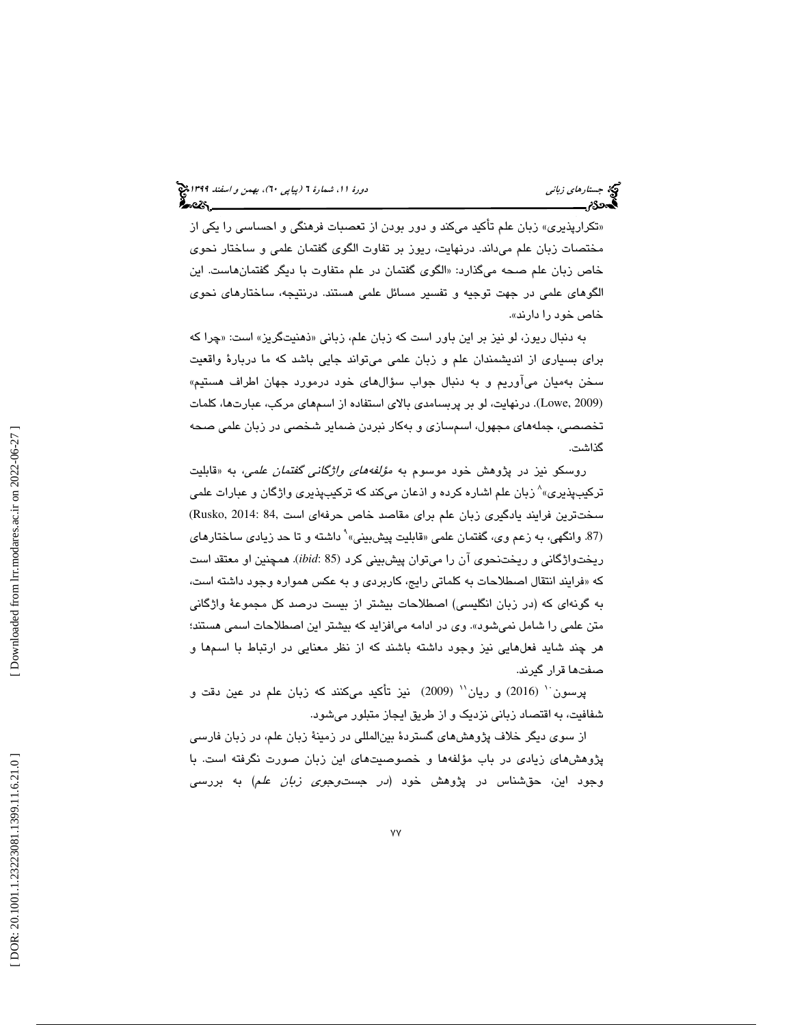«تكرارپذيرى» زبان علم تاكيد مىكند و دور بودن از تعصبات فرهنگى و احساسى را يكى از مختصات زبان علم ميداند. درنهايت، ريوز بر تفاوت الگوي گفتمان علمي و ساختار نحوي خاص زبان علم صحه ميگذارد: «الگوي گفتمان در علم متفاوت با ديگر گفتمانهاست. اين الگوهاي علمي در جهت توجيه و تفسير مسائل علمي هستند. درنتيجه، ساختارهاي نحوي خاص خود را دارند».

به دنبال ريوز، لو نيز بر اين باور است كه زبان علم، زبانی «ذهنيتگريز» است: «چرا كه براي بسياري از انديشمندان علم و زبان علمي ميتواند جايي باشد كه ما دربار ة واقعيت سخن بهميان می|وريم و به دنبال جواب سؤال@ای خود درمورد جهان اطراف هستيم» درنهايت، لو بر پربسامدي بالاي استفاده از اسمهاي مركب، عبارتها، كلمات .(Lowe, 2009) تخصصي، جملههاي مجهول، اسمسازي و بهكار نبردن ضماير شخصي در زبان علمي صحه گذاشت.

روسکو نيز در پژوهش خود موسوم به *مؤلفههای واژگانی گفتمان علمی،* به «قابليت<br>ترکيبپذيری»<sup>^</sup>زبان علم اشاره کرده و اذعان میکند که ترکيبپذيری واژگان و عبارات علمی 8زبان علم اشاره كرده و اذعان ميكند كه تركيبپذيري واژگان و عبارات علمي سختترين فرايند يادگيري زبان علم براي مقاصد خاص حرفهاي است ,84 :Rusko, 2014<br>(87. وانگهي، به زعم وي، گفتمان علمي «قابليت پيشبيني»<sup>۹</sup> داشته و تا حد زيادي ساختارهاي ريختواژگاني و ريختنحوي آن را ميتوان پيشبيني كرد *(ibid*: 85). همچنين او معتقد است فرايند انتقال اصطلاحات به كلماتي رايج، كاربردي و به عكس همواره وجود داشته است، كه « به گونهای که (در زبان انگلیسی) اصطلاحات بیشتر از بیست درصد کل مجموعهٔ واژگانی متن علمي را شامل نمي شود». وي در ادامه مي|فزايد كه بيشتر اين اصطلاحات اسمي هستند؛ هر چند شايد فعلهايي نيز وجود داشته باشند كه از نظر معنايي در ارتباط با اسمها و ها صفت قرار گيرند .

پرسون `` (2016) و ريان'`` (2009) نيز تأكيد ميكنند كه زبان علم در عين دقت و شفافيت، به اقتصاد زباني نزديك و از طريق ايجاز متبلور ميشود.

از سوي ديگر خلاف پژوهشهاي گستردة بينالمللي در زمينة زبان علم، در زبان فارسي پژوهشهای زیادی در باب مؤلفهها و خصوصیتهای این زبان صورت نگرفته است. با وجود اين، حقشناس در پژوهش خود (*در جستوجوي زبان علم*) به بررسي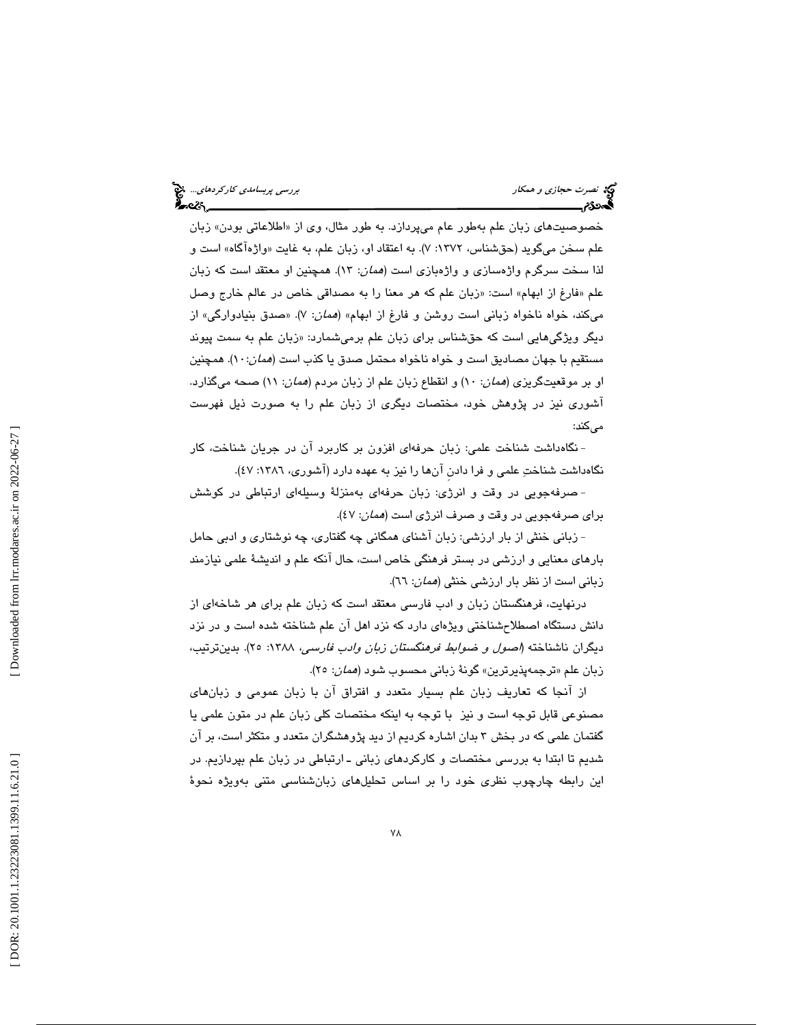خصوصيتهاى زبان علم بەطور عام مىپردازد. به طور مثال، وى از «اطلاعاتى بودن» زبان علم سـخن ميگويد (حقشناس، ١٣٧٢: ٧). به اعتقاد او، زبان علم، به غايت «واژهاگاه» است و لذا سخت سرگرم واژهسازی و واژهبازی است (*همان*: ۱۳). همچنین او معتقد است كه زبان علم «فارغ از ابهام» است: «زبان علم كه هر معنا را به مصداقی خاص در عالم خارج وصل ميكند، خواه ناخواه زباني است روشن و فارغ از ابهام» (*همان*: ۷). «صدق بنيادوارگي» از دیگر ویژگیهایی است که حقشناس برای زبان علم برمیشمارد: «زبان علم به سمت پیوند مستقيم با جهان مصاديق است و خواه ناخواه محتمل صدق يا كذب است (*همان*:١٠). همچنين او بر موقعیتگریز*ی (همان*: ۱۰) و انقطاع زبان علم از زبان مردم (*همان*: ۱۱) صـحه میگذارد. آشوري نيز در پژوهش خود، مختصات ديگري از زبان علم را به صورت ذيل فهرست مے كند:

نگاهداشت شناخت علمي: زبان حرفهاي افزون بر كاربرد آن در جريان شناخت، كار - نگاهداشت شناختِ علمي و فرا دادن آنها را نيز به عهده دارد (آشوري، ١٣٨٦: ٤٧).

صرفهجويي در وقت و انرژي: زبان حر فهاي بهمنزلة وسيلهاي ارتباطي در كوشش - براي صرفهجويي در وقت و صرف انرژي است (همان: 47 ).

- زباني خنثي از بار ارزشي: زبان آشناي همگاني چه گفتاري، چه نوشتاري و ادبي حامل بارهاي معنايي و ارزشي در بستر فرهنگي خاص است، حال آنكه علم و انديش ة علمي نيازمند زباني است از نظر بار ارزشي خنثي (*همان*: ٦٦).

درنهايت، فرهنگستان زبان و ادب فارسي معتقد است كه زبان علم براي هر شاخهاي از دانش دستگاه اصطلاحشناختي ويژهاي دارد كه نزد اهل آن علم شناخته شده است و در نزد ديگران ناشناخته (اصول و ضوابط فرهنگستان زبان وادب فارسي، 1388 : 25). بدينترتيب، زبان علم «ترجمهپذیرترین» گونهٔ زبانی محسوب شود (*همان*: ۲۵).

از آنجا كه تعاريف زبان علم بسيار متعدد و افتراق آن با زبان عمومي و زبانهاي مصنوعي قابل توجه است و نيز با توجه به اينكه مختصات كلي زبان علم در متون علمي يا گفتمان علمي كه در بخش 3 بدان اشاره كرديم از ديد پژوهشگران متعدد و متكثر است، بر آن شديم تا ابتدا به بررسي مختصات و كاركردهاي زباني ـ ارتباطي در زبان علم بپردازيم. در اين رابطه چارچوب نظري خود را بر اساس تحليلهاي زبانشناسي متني بهويژه نحوة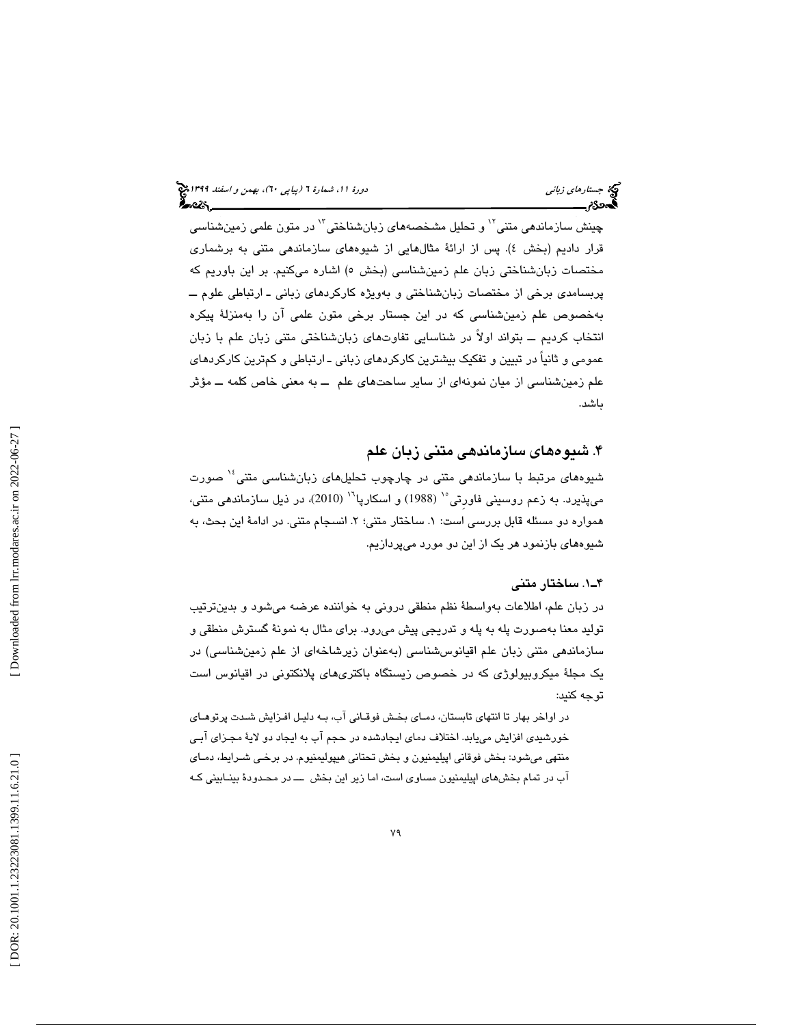چینش سازماندهی متنی<sup>۱۲</sup> و تحلیل مشخصههای زبانشناختی<sup>۱۲</sup> در متون علمی زمینشناس*ی* قرار داديم (بخش ٤). پس از ارائهٔ مثالهايي از شيوههاي سازماندهي متني به برشماري مختصات زبانشناختی زبان علم زمینشناسی (بخش ٥) اشاره میکنیم. بر این باوریم که پربسامدي برخي از مختصات زبانشناختي و بهويژه كاركردهاي زباني ـ ارتباطي علوم ــ بهخصوص علم زمینشناسی که در این جستار برخی متون علمی ان را بهمنزلهٔ پیکره انتخاب كرديم ــ بتواند اولاً در شناسايي تفاوتهاي زبانشناختي متني زبان علم با زبان عمومي و ثانياً در تبيين و تفكيك بيشترين كاركردهاي زباني ـ ارتباطي و كمترين كاركردهاي علم زمينشناسي از ميان نمونهاي از ساير ساحتهاي علم ــ به معني خاص كلمه ــ مؤثر باشد.

#### 4. شيوههاي سازماندهي متني زبان علم

شيوههای مرتبط با سازماندهی متنی در چارچوب تحلیلهای زبانشناسی متنی<sup>؛</sup>` صورت ميپذيرد. به زعم روسيني فاورتي°` (1988) و اسكارپا`` (2010)، در ذيل سازماندهي متني، همواره دو مسئله قابل بررسی است: ۱. ساختار متنی؛ ۲. انسجام متنی. در ادامهٔ این بحث، به شيوههاي بازنمود هر يك از اين دو مورد ميپردازيم.

#### 1ـ4 . ساختار متني

در زبان علم، اطلاعات بهواسطة نظم منطقي دروني به خواننده عرضه ميشود و بدينترتيب توليد معنا بهصورت پله به پله و تدريجي پيش ميرود. براي مثال به نمونة گسترش منطقي و سازماندهي متني زبان علم اقيانوسشناسي (بهعنوان زيرشاخهاي از علم زمينشناسي) در يك مجلة ميكروبيولوژي كه در خصوص زيستگاه باكتريهاي پلانكتوني در اقيانوس است توجه كنيد:

در اواخر بهار تا انتهاي تابستان، دمـاي بخـش فوقـاني آب، بـه دليـل افـزايش شـدت پرتوهـاي خورشيدي افزايش مييابد. اختلاف دماي ايجادشده در حجم آب به ايجاد دو لاية مجـزاي آبـي منتهي ميشود: بخش فوقاني اپيليمنيون و بخش تحتاني هيپوليمنيوم. در برخـي شـرايط، دمـاي آب در تمام بخشهاي اپيليمنيون مساوي است، اما زير اين بخش ـــ در محـدودة بينـابيني كـه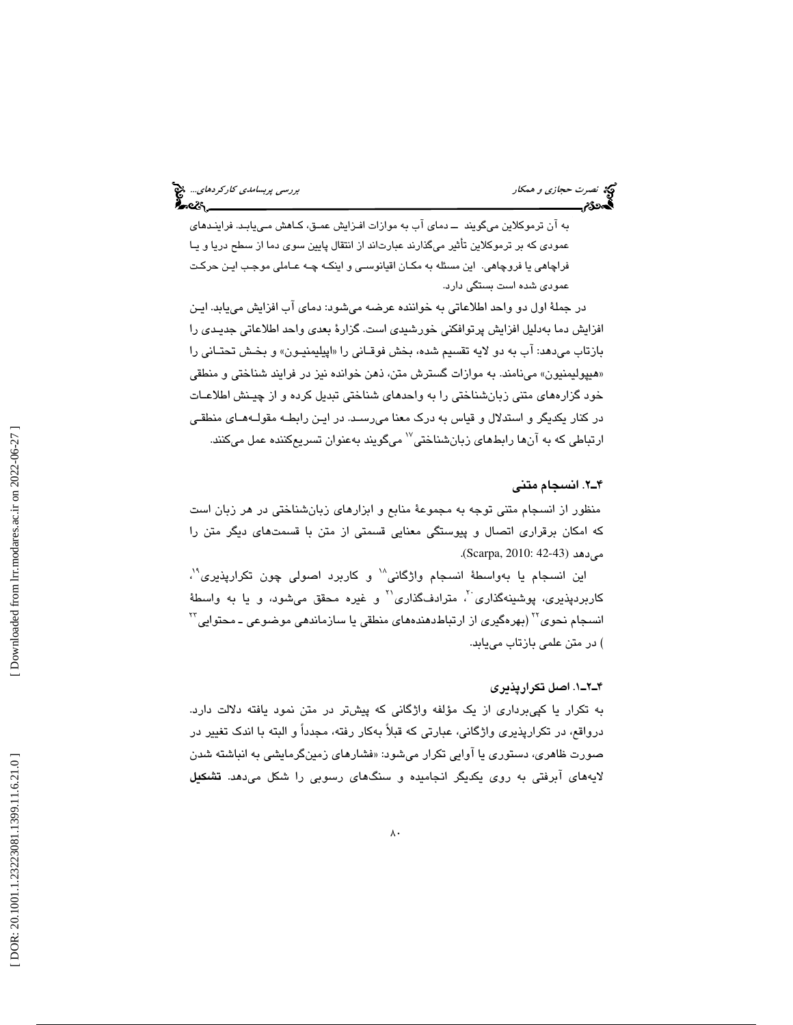به آن ترموكلاين ميگويند ــ دماي آب به موازات افـزايش عمـق، كـاهش مـي يابـد. ارف ينـدهاي عمودي كه بر ترموكلاين تأثير ميگذارند عبارتاند از انتقال پايين سوي دما از سطح دريا و يـا فراچاهي يا فروچاهي. اين مسئله به مكـان اقيانوسـي و اينكـه چـه عـاملي موجـب ايـن حركـت عمودي شده است بستگي دارد.

در جملة اول دو واحد اطلاعاتي به خواننده عرضه ميشود: دماي آب افزايش مييابد. ايـن افزايش دما بەدليل افزايش پرتوافكنى خورشىدى است. گزارۀ بعدى واحد اطلاعاتى جديـدى را بازتاب ميدهد: اب به دو لايه تقسيم شده، بخش فوقـاني را «اپيليمنيــون» و بخـش تحتــاني را هيپوليمنيون» مينامند. به موازات گسترش متن، ذهن خوانده نيز در فرايند شناختي و منطقي » خود گزارههاي متني زبانشناختي را به واحدهاي شناختي تبديل كرده و از چيـنش اطلاعـات در كنار يكديگر و استدلال و قياس به درك معنا ميرسـد. در ايـن رابطـه مقولـه هـاي منطقـي ارتباطی که به آنها رابطهای زبانشناختی<sup>۷٬</sup> میگویند بهعنوان تسریعکننده عمل میکنند.

#### 2ـ4 . انسجام متني

منظور از انسجام متني توجه به مجموعة منابع و ابزارهاي زبانشناختي در هر زبان است كه امكان برقراري اتصال و پيوستگي معنايي قسمتي از متن با قسمتهاي ديگر متن را مي دهد (42-43 Scarpa, 2010:

اين انسجام يا بهواسطۀ انسجام واژگانى" و كاربرد اصولى چون تكرارپذيرى"، کاربردپذيري، پوشينهگذاري<sup>.۲</sup>، مترادفگذاري<sup>71</sup> و غيره محقق ميشود، و يا به واسطهٔ انسجام نحوی $^{Y^{\tau}}$ (بهرهگیری از ارتباطدهندههای منطقی یا سازماندهی موضوعی ـ محتوایی $^{Y^{\tau}}$ ) در متن علمي بازتاب مييابد.

#### 1ـ2ـ4 . اصل تكرارپذيري

به تكرار يا كپيبرداري از يك مؤلفه واژگاني كه پيشتر در متن نمود يافته دلالت دارد. درواقع، در تكرارپذيري واژگاني، عبارتي كه قبلاً بهكار رفته، مجدداً و البته با اندك تغيير در صورت ظاهری، دستوری یا اوایی تکرار میشود: «فشارهای زمینگرمایشی به انباشته شدن لايههاي آبرفتي به روي يكديگر انجاميده و سنگهاي رسوبي را شكل ميدهد. تشكيل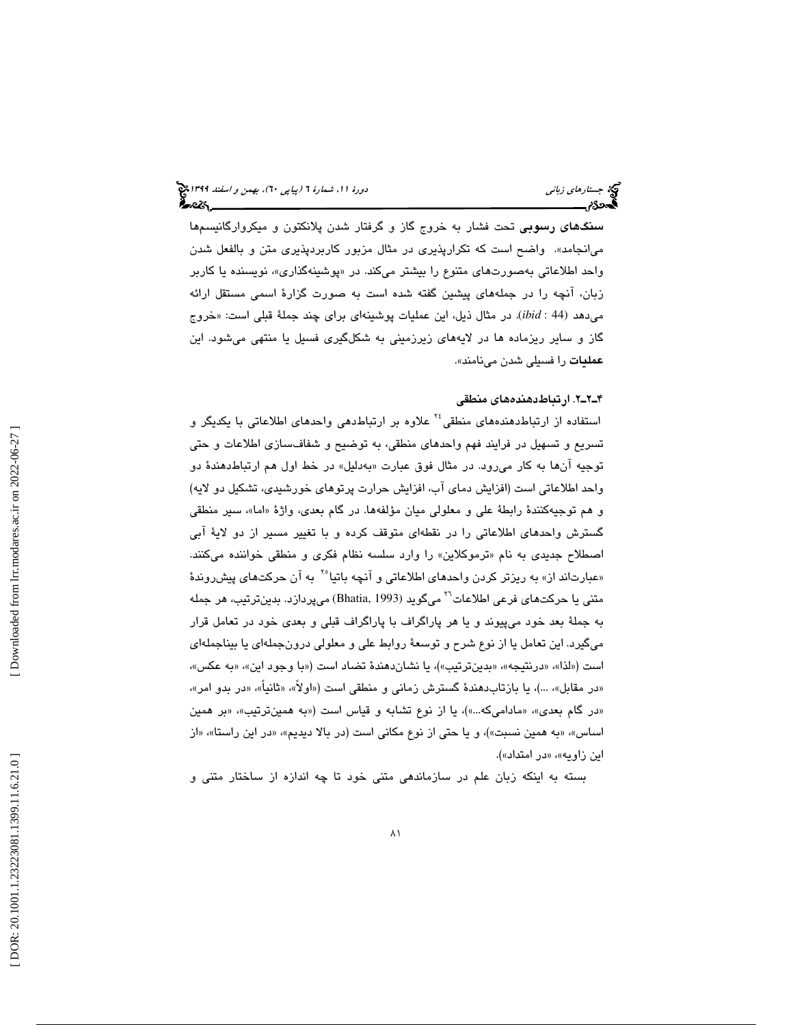سنگهاي رسوبي تحت فشار به خروج گاز و گرفتار شدن پلانكتون و ميكروارگانيسمها ميانجامد». واضح است كه تكرارپذيري در مثال مزبور كاربردپذيري متن و بالفعل شدن واحد اطلاعاتی بهصورتهای متنوع را بیشتر میكند. در «پوشینهگذاری»، نویسنده یا كاربر زبان، آنچه را در جملههاي پيشين گفته شده است به صورت گزارة اسمي مستقل ارائه میدهد (44 : ibid). در مثال ذیل، این عملیات پوشینهای برای چند جملهٔ قبلی است: «خروج گاز و ساير ريزماده ها در لايههاي زيرزميني به شكلگيري فسيل يا منتهي ميشود. اين عمليات را فسيلي شدن مينامند ».

#### 2ـ2ـ4 . ارتباطدهندههاي منطقي

استفاده از ارتباطدهندههاي منطقي<sup>٢٤</sup> علاوه بر ارتباطدهي واحدهاي اطلاعاتي با يكديگر و تسريع و تسهيل در فرايند فهم واحدهاي منطقي، به توضيح و شفافسازي اطلاعات و حتي توجيه انها به كار مىرود. در مثال فوق عبارت «بەدليل» در خط اول هم ارتباطدهندۀ دو واحد اطلاعاتي است (افزايش دماي آب، افزايش حرارت پرتوهاي خورشيدي، تشكيل دو لايه) و هم توجيهكنندهٔ رابطهٔ على و معلولي ميان مؤلفهها. در گام بعدي، واژهٔ «اما»، سير منطقي گسترش واحدهاي اطلاعاتي را در نقطهاي متوقف كرده و با تغيير مسير از دو لاية آبي اصطلاح جديدي به نام «ترموكلاين» را وارد سلسه نظام فكري و منطقي خواننده ميكنند. «عبارتاند از» به ریزتر کردن واحدهای اطلاعاتی و آنچه باتیا<sup>۲</sup>۰ به آن حرکتهای پیش روندهٔ متنی یا حرکتهای فرعی اطلاعات<sup>۲</sup>` میگوید (Bhatia, 1993) میپردازد. بدینترتیب، هر جمله به جملة بعد خود ميپيوند و يا هر پاراگراف با پاراگراف قبلي و بعدي خود در تعامل قرار ميگيرد. اين تعامل يا از نوع شرح و توسعة روابط علي و معلولي درونجملهاي يا بيناجملهاي است («لذا»، «درنتيجه»، «بدينترتيب»)، يا نشاندهندهٔ تضاد است («با وجود اين»، «به عكس»، «در مقابل»، …)، يا بازتاب $\mathfrak{so}$ هندهٔ گسترش زمانى و منطقى است («اولاً»، «ثانياً»، «در بدو امر»، «در گام بعدی»، «مادامیکه…»)، یا از نوع تشابه و قیاس است («به همینترتیب»، «بر همین اساس»، «به همين نسبت»)، و يا حتى از نوع مكاني است (در بالا ديديم»، «در اين راستا»، «از اين زاويه»، «در امتداد»).

بسته به اينكه زبان علم در سازماندهي متني خود تا چه اندازه از ساختار متني و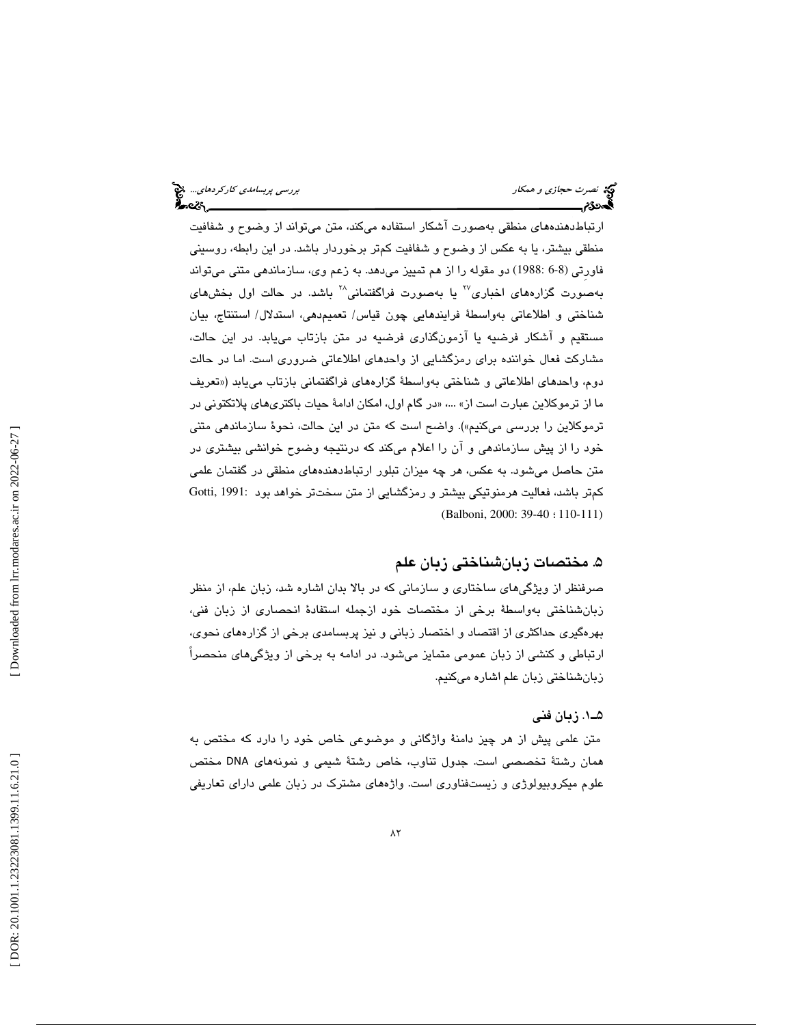ارتباطدهندههاي منطقي بهصورت آشكار استفاده ميكند، متن ميتواند از وضوح و شفافيت منطقي بيشتر، يا به عكس از وضوح و شفافيت كمتر برخوردار باشد. در اين رابطه، روسيني فاورِتي (6-8 1988:) دو مقوله را از هم تمييز ميدهد. به زعم وي، سازماندهي متني ميتواند بهصورت گزارههای اخباری<sup>۲۷</sup> یا بهصورت فراگفتمانی<sup>۲۸</sup> باشد. در حالت اول بخشهای شناختي و اطلاعاتي بهواسطة فرايندهايي چون قياس/ تعميمدهي، استدلال/ استنتاج، بيان مستقيم و آشكار فرضيه يا آزمونگذاري فرضيه در متن بازتاب مييابد. در اين حالت، مشاركت فعال خواننده براي رمزگشايي از واحدهاي اطلاعاتي ضروري است. اما در حالت دوم، واحدهاي اطلاعاتي و شناختي بهواسطة گزارههاي فراگفتماني بازتاب مييابد («تعريف ما از ترموكلاين عبارت است از» …، «در گام اول، امكان ادامهٔ حيات باكترىهاى پلاتكتونى در ترموكلاين را بررسي ميكنيم»). واضح است كه متن در اين حالت، نحوة سازماندهي متني خود را از پيش سازماندهي و آن را اعلام ميكند كه درنتيجه وضوح خوانشي بيشتري در متن حاصل ميشود. به عكس، هر چه ميزان تبلور ارتباطدهندههاي منطقي در گفتمان علمي كمتر باشد، فعاليت هرمنوتيكي بيشتر و رمزگشايي از متن سختتر خواهد بود 1991: ,Gotti (Balboni, 2000: 39-40 : 110-111)

## . مختصات زبانشناختي زبان علم 5

صرفنظر از ويژگيهاي ساختاري و سازماني كه در بالا بدان اشاره شد، زبان علم، از منظر زبانشناختي بهواسطة برخي از مختصات خود ازجمله استفادة انحصاري از زبان فني، بهرهگيري حداكثري از اقتصاد و اختصار زباني و نيز پربسامدي برخي از گزارههاي نحوي، ارتباطي و كنشي از زبان عمومي متمايز ميشود. در ادامه به برخي از ويژگيهاي منحصراً بانشناختي زبان علم اشاره ميكنيم. ز

#### 1ـ5 . زبان فني

متن علمي پيش از هر چيز دامنة واژگاني و موضوعي خاص خود را دارد كه مختص به همان رشتة تخصصي است. جدول تناوب، خاص رشتة شيمي و نمونههاي DNA مختص علوم ميكروبيولوژي و زيستفناوري است. واژههاي مشترك در زبان علمي داراي تعاريفي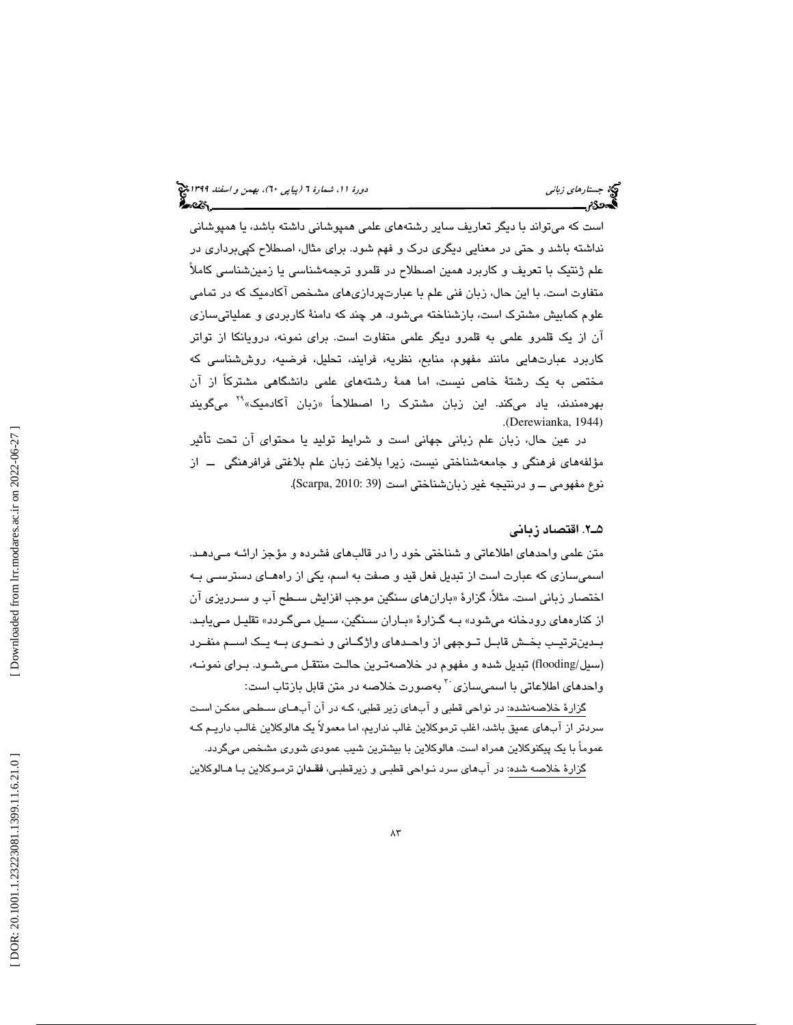است كه ميتواند با ديگر تعاريف ساير رشتههاي علمي همپوشاني داشته باشد، يا همپوشاني نداشته باشد و حتي در معنايي ديگري درك و فهم شود. براي مثال، اصطلاح كپيبرداري در علم ژنتيك با تعريف و كاربرد همين اصطلاح در قلمرو ترجمهشناسي يا زمينشناسي كاملاً متفاوت است. با اين حال، زبان فني علم با عبارتپردازيهاي مشخص آكادميك كه در تمامي علوم كمابيش مشترك است، بازشناخته ميشود. هر چند كه دامنة كاربردي و عملياتيسازي آن از يك قلمرو علمي به قلمرو ديگر علمي متفاوت است. براي نمونه، درويانكا از تواتر كاربرد عبارتهايي مانند مفهوم، منابع، نظريه، فرايند، تحليل، فرضيه، روششناسي كه مختص به یک رشتهٔ خاص نیست، اما همهٔ رشتههای علمی دانشگاهی مشترکا از ان<br>بهرهمندند، یاد میکند. این زبان مشترک را اصطلاحاً «زبان آکادمیک»<sup>۲۹</sup> میگویند . (Derewianka, 1944)

در عين حال، زبان علم زباني جهاني است و شرايط توليد يا محتواي آن تحت تأثير مؤلفههاي فرهنگي و جامعهشناختي نيست، زيرا بلاغت زبان علم بلاغتي فرافرهنگي ــ از . (Scarpa, 2010: 39 نوع مفهومي ــ و درنتيجه غير زبانشناختي است (

#### 2ـ5 . اقتصاد زباني

متن علمي واحدهاي اطلاعاتي و شناختي خود را در قالبهاي فشرده و مؤجز ارائـه مـي دهـد. اسميسازي كه عبارت است از تبديل فعل قيد و صفت به اسم، يكي از راههـاي دسترسـي بـه اختصار زباني است. مثلاً، گزارهٔ «بارانهاي سنگين موجب افزايش سـطح اب و سـرريزي ان از كنارههاي رودخانه ميشود» بــه گـزارهٔ «بــاران ســنگين، ســيل مـيگـردد» تقليـل مـيLبـد. بــدينترتيــب بخــش قابــل تــوجهي از واحــدهاي واژگــاني و نحــوي بــه يــك اســم منفــرد (سيل/flooding (تبديل شده و مفهوم در خلاصهتـرين حالـت منتقـل مـي شـود. بـراي نمونـه، واحد*ه*ای اطلاعاتی با اسمیسازی<sup>۲۰</sup> بهصورت خلاصه در متن قابل بازتاب است:

گزارهٔ خلاصهنشده: در نواحی قطبی و اب ${\mathfrak {sl}}$ ی زیر قطبی، کـه در ان اب ${\mathfrak {sl}}$ ی سـطحی ممکـن اسـت سردتر از آبهاي عميق باشد، اغلب ترموكلاين غالب نداريم ، اما معمولاً يك هالوكلاين غالـب داريـم كـه عموماً با يك پيكنوكلاين همراه است. هالوكلاين با بيشترين شيب عمودي شوري مشخص ميگردد.

گزارة خلاصه شده: در آبهاي سرد نـواحي قطبـي و زيرقطبـي، فقـدان ترمـوكلاين بـا هـالوكلاين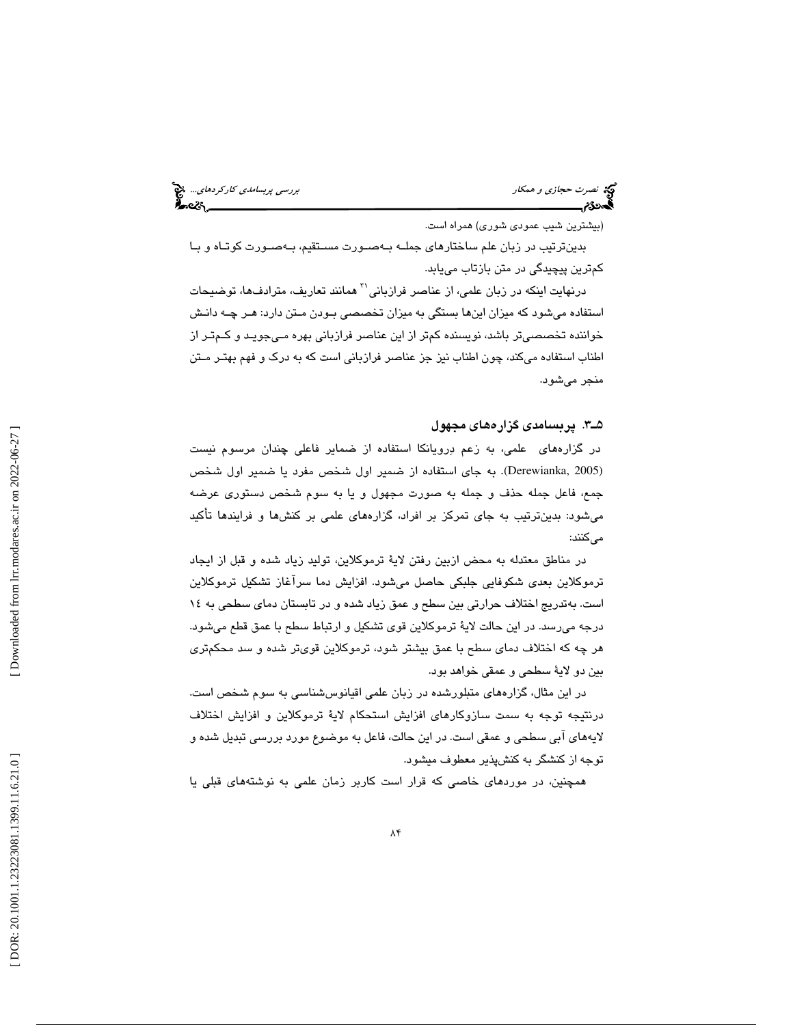نصرت حجازي و همكار بررسي پربس*امدي كاركردهاي...*. چ<mark>خ</mark><br>ال**محمد كاركردهاي...**<br>ا**لمحمد كارم بررسي كاركردهاي بررسي بررسي بررسي كارمون كارمون بررسي بريسامدين بررسي بررسي بررسي بررسي بررسي بررسي** 

(بيشترين شيب عمودي شوري) همراه است.

بدينترتيب در زبان علم ساختارهاي جملـه بـه صـورت مسـتقيم، بـه صـورت كوتـاه و بـا كمترين پيچيدگي در متن بازتاب مييابد.

درنهايت اينكه در زبان علمي، از عناصر فرازباني<sup>۳</sup> همانند تعاريف، مترادفها، توضيحات استفاده ميشود كه ميزان اينها بستگي به ميزان تخصصي بـودن مـتن دارد: هـر چـه دانـش خواننده تخصصيتر باشد، نويسنده كمتر از اين عناصر فرازباني بهره مـي جويـد و كـم تـر از اطناب استفاده ميكند، چون اطناب نيز جز عناصر فرازباني است كه به درك و فهم بهتـر مـتن منجر ميشود.

#### 3ـ5 . پربسامدي گزارههاي مجهول

در گزارههاي علمي، به زعم درويانكا استفاده از ضماير فاعلي چندان مرسوم نيست به جاي استفاده از ضمير اول شخص مفرد يا ضمير اول شخص .(Derewianka, 2005) جمع، فاعل جمله حذف و جمله به صورت مجهول و يا به سوم شخص دستوري عرضه ميشود: بدينترتيب به جاي تمركز بر افراد، گزارههاي علمي بر كنشها و فرايندها تأكيد مي كنند:

در مناطق معتدله به محض ازبين رفتن لايهٔ ترموكلاين، توليد زياد شده و قبل از ايجاد ترموكلاين بعدي شكوفايي جلبكي حاصل م يشود. افزايش دما سرآغاز تشكيل ترموكلاين است. بهتدريج اختلاف حرارتي بين سطح و عمق زياد شده و در تابستان دماي سطحي به ١٤ درجه ميرسد. در اين حالت لاية ترموكلاين قوي تشكيل و ارتباط سطح با عمق قطع مي شود. هر چه كه اختلاف دماي سطح با عمق بيشتر شود، ترموكلاين قويتر شده و سد محكمتري بين دو لايهٔ سطحي و عمقي خواهد بود.

در اين مثال، گزارههاي متبلورشده در زبان علمي اقيانوسشناسي به سوم شخص است. درنتيجه توجه به سمت سازوكارهاي افزايش استحكام لاية ترموكلاين و افزايش اختلاف لايههاي آبي سطحي و عمقي است. در اين حالت، فاعل به موضوع مورد بررسي تبديل شده و توجه از كنشگر به كنشپذير معطوف ميشود.

همچنين، در موردهاي خاصي كه قرار است كاربر زمان علمي به نوشتههاي قبلي يا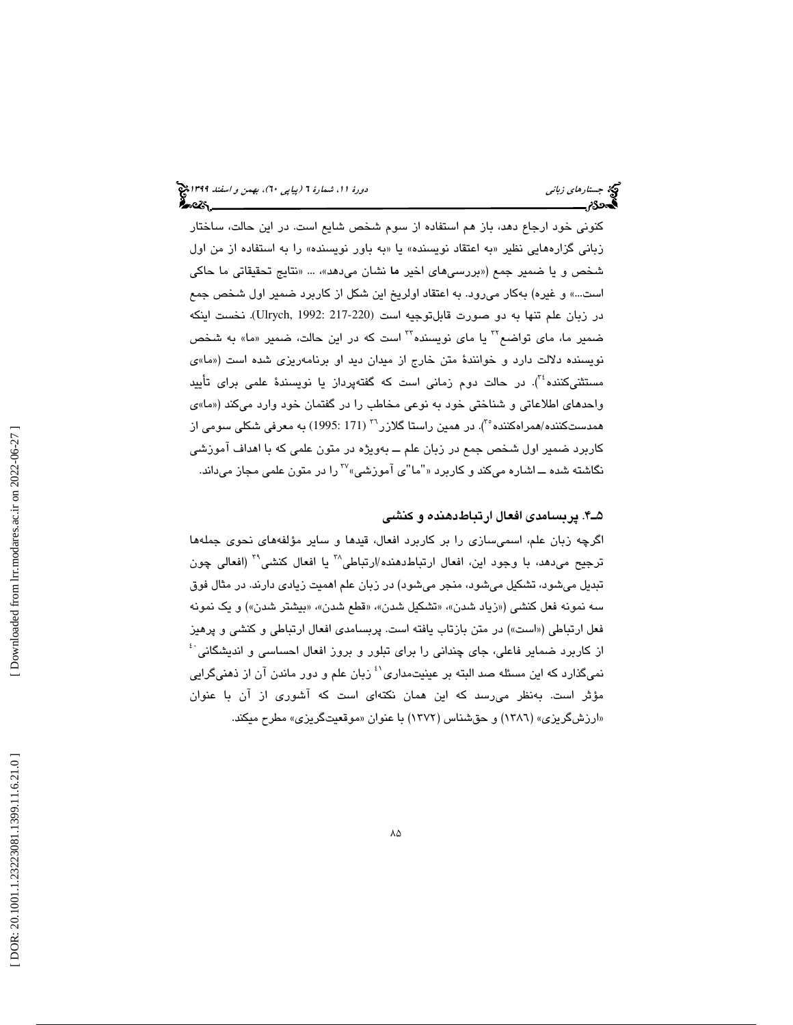كنوني خود ارجاع دهد، باز هم استفاده از سوم شخص شايع است. در اين حالت، ساختار زباني گزارههايي نظير «به اعتقاد نويسنده» يا «به باور نويسنده» را به استفاده از من اول شخص و يا ضمير جمع («بررسی۱مای اخیر ما نشان میدهد»، … «نتایج تحقیقاتی ما حاکی است...» و غيره) بهكار ميرود. به اعتقاد اولريخ اين شكل از كاربرد ضمير اول شخص جمع در زبان علم تنها به دو صورت قابلتوجيه است (217-220 1992: ,Ulrych(. نخست اينكه ضمير ما، ماي تواضع™ يا ماي نويسنده™ است كه در اين حالت، ضمير «ما» به شخص نويسنده دلالت دارد و خوانندة متن خارج از ميدان ديد او برنامهريزي شده است (« »ما ي مستثنیکننده ٔ ٔ). در حالت دوم زمانی است که گفتهپرداز يا نويسندهٔ علمی برای تأييد واحدهاي اطلاعاتي و شناختي خود به نوعي مخاطب را در گفتمان خود وارد ميكند (« »ما ي همدستکننده/همراهکننده ْ"). در همین راستا گلازر <sup>۳</sup>۲ (171 :1995) به معرفی شکلی سومی از كاربرد ضمير اول شخص جمع در زبان علم ـــ بەويژه در متون علمی كه با اهداف اموزش*ی*<br>نگاشته شده ـــ اشاره میكند و كاربرد «"ما"ی آموزشی»<sup>7</sup> را در متون علمی مجاز میداند.

#### 4ـ5 . پربسامدي افعال ارتباطدهنده و كنشي

اگرچه زبان علم، اسميسازي را بر كاربرد افعال، قيدها و ساير مؤلفههاي نحوي جملهها ترجيح مي دهد، با وجود اين، افعال ارتباط دهنده/ارتباطي^'' يا افعال كنشي^' (افعالي چون تبديل ميشود، تشكيل ميشود، منجر ميشود) در زبان علم اهميت زيادي دارند. در مثال فوق سه نمونه فعل كنشي («زياد شدن»، «تشكيل شدن»، «قطع شدن»، «بيشتر شدن») و يك نمونه فعل ارتباطي («است») در متن بازتاب يافته است. پربسامدي افعال ارتباطي و كنشي و پرهيز از كاربرد ضماير فاعلی، جای چندانی را برای تبلور و بروز افعال احساسی و اندیشگانی <sup>: ؛</sup> نميگذارد كه اين مسئله صد البته بر عينيتمداري<sup>٬٬</sup> زبان علم و دور ماندن آن از ذهنيگرايي مؤثر است. بهنظر ميرسد كه اين همان نكتهاي است كه آشوري از آن با عنوان «ارزشگريزی» (١٣٨٦) و حقشناس (١٣٧٢) با عنوان «موقعيتگريزی» مطرح ميكند.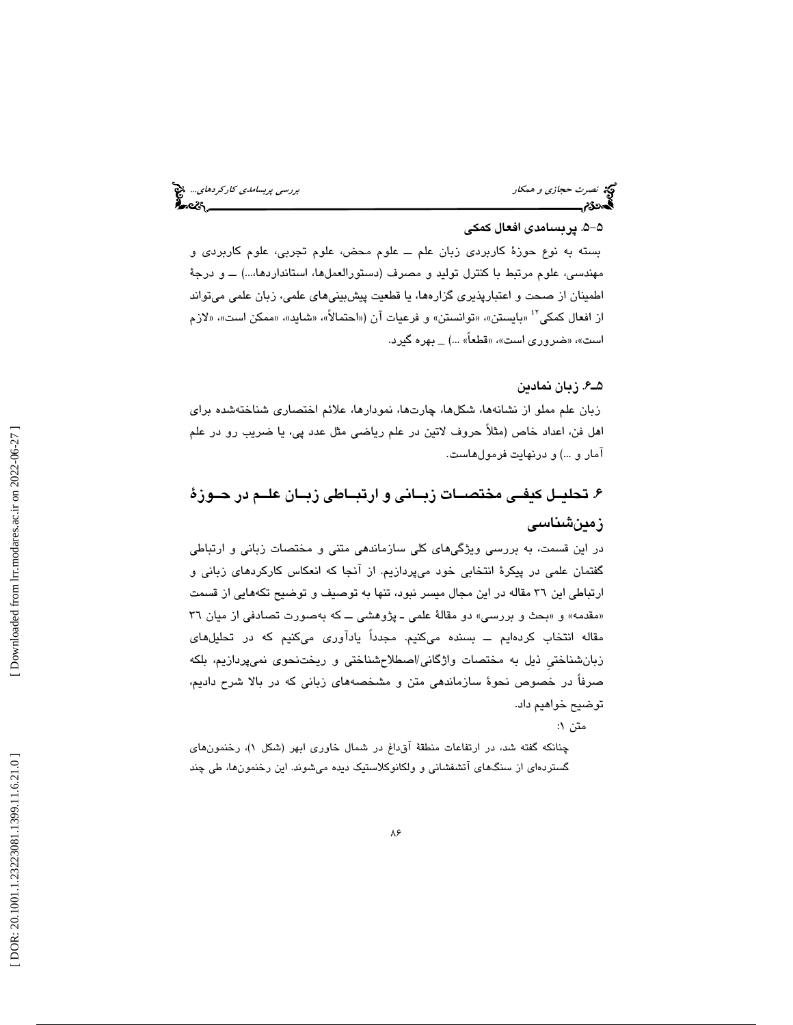نصرت حجازي و همكار بررسي پربس*امدي كاركردهاي...*. پيچ بررسي پربس*امدي كاركردهاي...*. پيچ بررسي پربس*امدي كاركردهاي...*<br>**پس در بررسي بررسي بررسي بررسي بررسي بررسي بررسي بررسي بررسي بررسي بررسي بررسي بررسي بررسي بررسي بررسي** 

### -5 5 . پربسامدي افعال كمكي

بسته به نوع حوزة كاربردي زبان علم ــ علوم محض، علوم تجربي، علوم كاربردي و مهندسي، علوم مرتبط با كنترل توليد و مصرف (دستورالعملها، استانداردها...،) ــ و درجة اطمينان از صحت و اعتبارپذيري گزارهها، يا قطعيت پيشبينيهاي علمي، زبان علمي ميتواند از افعال كمكي<sup>۶۲</sup> «بايستن»، «توانستن» و فرعيات آن («احتمالاً»، «شايد»، «ممكن است»، «لازم است»، «ضروری است»، «قطعاً» …) \_ بهره گیرد.

#### 6ـ5 . زبان نمادين

زبان علم مملو از نشانهها، شكلها، چارتها، نمودارها، علائم اختصاري شناختهشده براي اهل فن، اعداد خاص (مثلاً حروف لاتين در علم رياضـی مثل عدد پی، يا ضريب رو در علم<br>آمار و …) و درنهايت فرمول۵است.

# . تحليـل كيفـي مختصـات زبـاني و ارتبـاطي زبـان علـم در حـوزة 6 زمينشناسي

در اين قسمت، به بررسي ويژگيهاي كلي سازماندهي متني و مختصات زباني و ارتباطي گفتمان علمي در پيكرة انتخابي خود ميپردازيم. از آنجا كه انعكاس كاركردهاي زباني و ارتباطي اين 36 مقاله در اين مجال ميسر نبود، تنها به توصيف و توضيح تكههايي از قسمت «مقدمه» و «بحث و بررسی» دو مقالهٔ علمی ــ پژوهشی ـــ كه بهصورت تصادفی از میان ٣٦ مقاله انتخاب كردهايم ــ بسنده ميكنيم. مجدداً يادآوري ميكنيم كه در تحليلهاي زبانشناختيِ ذيل به مختصات واژگاني/اصطلاحشناختي و ريختنحوي نميپردازيم، بلكه صرفاً در خصوص نحوة سازماندهي متن و مشخصههاي زباني كه در بالا شرح داديم، توضيح خواهيم داد.

متن ۱:

چنانكه گفته شد، در ارتفاعات منطقهٔ اق $\iota$ اغ در شمال خاوری ابهر (شكل ۱)، رخنمون $a$ ای گستردهاي از سنگهاي آتشفشاني و ولكانوكلاستيك ديده ميشوند. اين رخنمونها، طي چند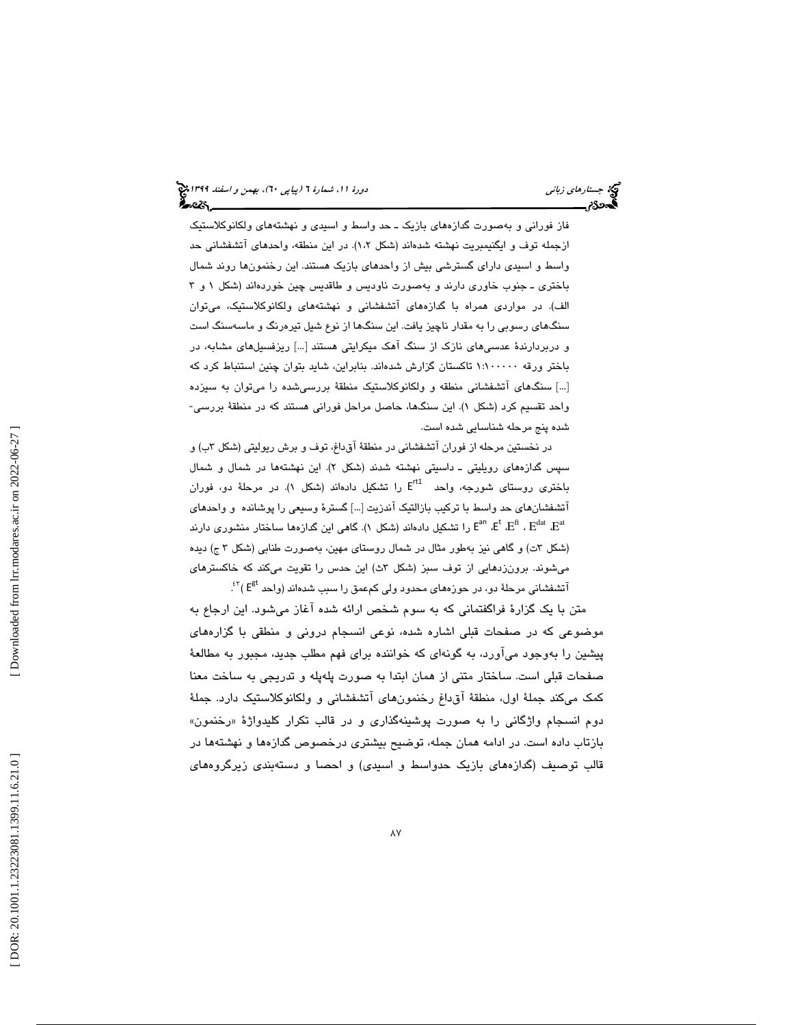جستار*هاي زباني (بياپي 60)، بهمن و اسفند 1*398 هجرا بياني دورة 11، شمارة 1 (پياپي ٢٠)، بهم*ن و اسفند 1*394 هج أحصركم

فاز فوراني و بهصورت گدازههاي بازيك ـ حد واسط و اسيدي و نهشتههاي ولكانوكلاستيك ازجمله توف و ايگنيمبريت نهشته شدهاند (شكل 1،2). در اين منطقه، واحدهاي آتشفشاني حد واسط و اسيدي داراي گسترشي بيش از واحدهاي بازيك هستند. اين رخنمونها روند شمال باختري ـ جنوب خاوري دارند و بهصورت ناوديس و طاقديس چين خوردهاند (شكل 1 3و الف). در مواردي همراه با گدازههاي آتشفشاني و نهشتههاي ولكانوكلاستيك، ميتوان سنگهاي رسوبي را به مقدار ناچيز يافت. اين سنگها از نوع شيل تيرهرنگ و ماسهسنگ است و دربردارندة عدسيهاي نازك از سنگ آهك ميكرايتي هستند [...] ريزفسيلهاي مشابه، در باختر ورقه 1:100000 تاكستان گزارش شدهاند. بنابراين، شايد بتوان چنين استنباط كرد كه […] سنگهای آتشفشانی منطقه و ولکانوکلاستیک منطقهٔ بررسیشده را میتوان به سیزده<br>واحد تقسیم کرد (شکل ۱). این سنگها، حاصل مراحل فورانی هستند که در منطقهٔ بررسی-شده پنج مرحله شناسايي شده است.

در نخستين مرحله از فوران اتشفشاني در منطقهٔ اق داغ، توف و برش ريوليتي (شكل ٣ب) و سپس گدازههای رویلیتی ـ داسیتی نهشته شدند (شکل ۲). این نهشتهها در شمال و شمال باختری روستای شورجه، واحد  $\mathsf{E}^\mathsf{rtl}$  را تشکیل دادهاند (شکل ۱). در مرحلهٔ دو، فوران اتشفشانهای حد واسط با ترکیب بازالتیک اندزیت [...] گسترهٔ وسیعی را پوشانده و واحدهای<br>E<sup>an</sup> ،E<sup>t</sup> ،E<sup>fi</sup> ، E<sup>dat</sup> ،E<sup>at</sup> (شكل ٣ت) و گاهي نيز بهطور مثال در شمال روستاي مهين، بهصورت طنابي (شكل ٣ ج) ديده میشوند. برونزدهایی از توف سبز (شکل ۳ث) این حدس را تقویت میکند که خاکسترهای  $\mathrm{f}^{\mathrm{gt}}$  آتشفشانی مرحلهٔ دو، در حوزههای محدود ولی کمعمق را سبب شدهاند (واحد  $\mathrm{f}^\mathrm{gt}$ .

متن با يك گزارة فراگفتماني كه به سوم شخص ارائه شده آغاز ميشود. اين ارجاع به موضوعي كه در صفحات قبلي اشاره شده، نوعي انسجام دروني و منطقي با گزارههاي پيشين را بهوجود ميآورد، به گونهاي كه خواننده براي فهم مطلب جديد، مجبور به مطالعة صفحات قبلي است. ساختار متني از همان ابتدا به صورت پلهپله و تدريجي به ساخت معنا كمك ميكند جملة اول، منطقة آقداغ رخنمونهاي آتشفشاني و ولكانوكلاستيك دارد. جملة دوم انسجام واژگانی را به صورت پوشینهگذاری و در قالب تكرار كليدواژهٔ «رخنمون» بازتاب داده است. در ادامه همان جمله، توضيح بيشتري درخصوص گدازهها و نهشتهها در قالب توصيف (گدازههاي بازيك حدواسط و اسيدي) و احصا و دستهبندي زيرگروههاي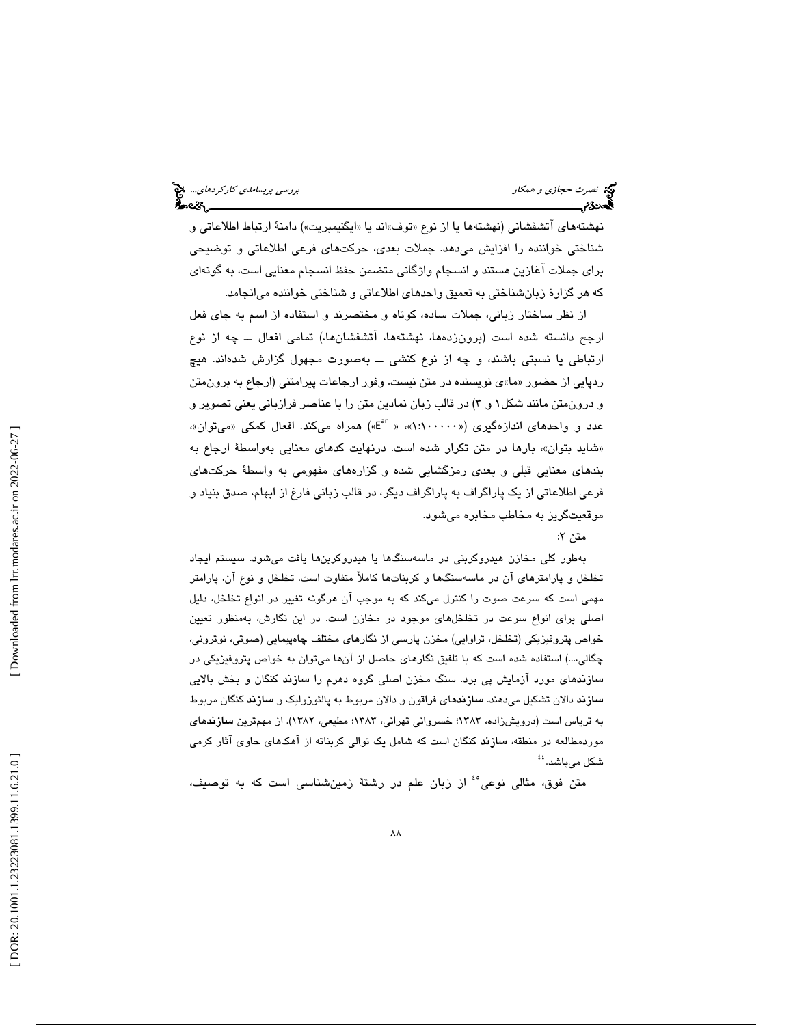نهشتههاي اتشفشاني (نهشتهها يا از نوع «توف»اند يا «ايگنيمبريت») دامنهٔ ارتباط اطلاعاتي و شناختي خواننده را افزايش ميدهد. جملات بعدي، حركتهاي فرعي اطلاعاتي و توضيحي براي جملات آغازين هستند و انسجام واژگاني متضمن حفظ انسجام معنايي است، به گونهاي كه هر گزارة زبانشناختي به تعميق واحدهاي اطلاعاتي و شناختي خواننده ميانجامد.

از نظر ساختار زباني، جملات ساده، كوتاه و مختصرند و استفاده از اسم به جاي فعل ارجح دانسته شده است (برون زدهها، نهشتهها، آتشفشانها،) تمامي افعال ــ چه از نوع ارتباطي يا نسبتي باشند، و چه از نوع كنشي ــ بهصورت مجهول گزارش شدهاند. هيچ ردپايي از حضور «ما»ی نويسنده در متن نيست. وفور ارجاعات پيرامتني (ارجاع به برونمتن و درونمتن مانند شکل ۱ و ۳) در قالب زبان نمادين متن را با عناصر فرازبانی يعنی تصوير و<br>عدد و واحدهای اندازهگیری («۱:۱۰۰۰۰۰» « E<sup>an</sup>» همراه میکند. افعال کمکی «میتوان»، «شاید بتوان»، بارها در متن تکرار شده است. درنهایت کدهای معنایی بهواسطهٔ ارجاع به بندهاي معنايي قبلي و بعدي رمزگشايي شده و گزارههاي مفهومي به واسطة حركتهاي فرعي اطلاعاتي از يك پاراگراف به پاراگراف ديگر، در قالب زباني فارغ از ابهام، صدق بنياد و موقعيتگريز به مخاطب مخابره ميشود.

متن 2:

نسي نصرت *حجازي و همكار*<br>**به موكن** بررسي

بهطور كلي مخازن هيدروكربني در ماسهسنگها يا هيدروكربنها يافت ميشود. سيستم ايجاد تخلخل و پارامترهاي آن در ماسهسنگها و كربناتها كاملاً متفاوت است. تخلخل و نوع آن، پارامتر مهمي است كه سرعت صوت را كنترل ميكند كه به موجب آن هرگونه تغيير در انواع تخلخل، دليل اصلي براي انواع سرعت در تخلخلهاي موجود در مخازن است. در اين نگارش، بهمنظور تعيين خواص پتروفيزيكي (تخلخل، تراوايي) مخزن پارسي از نگارهاي مختلف چاهپيمايي (صوتي، نوتروني، چگالي...،) استفاده شده است كه با تلفيق نگارهاي حاصل از آنها ميتوان به خواص پتروفيزيكي در سازندهاي مورد آزمايش پي برد. سنگ مخزن اصلي گروه دهرم را سازند كنگان و بخش بالايي سازند دالان تشكيل ميدهند. سازندهاي فراقون و دالان مربوط به پالئوزوليك و سازند كنگان مربوط به ترياس است (درويشزاده، 1383؛ خسرواني تهراني، 1383؛ مطيعي، 1382). از مهمترين سازندهاي موردمطالعه در منطقه، سازند كنگان است كه شامل يك توالي كربناته از آهكهاي حاوي آثار كرمي شكل مىباشد. <sup>؛؛</sup>

متن فوق، مثالي نوعي°ٔ از زبان علم در رشتهٔ زمينشناسي است كه به توصيف،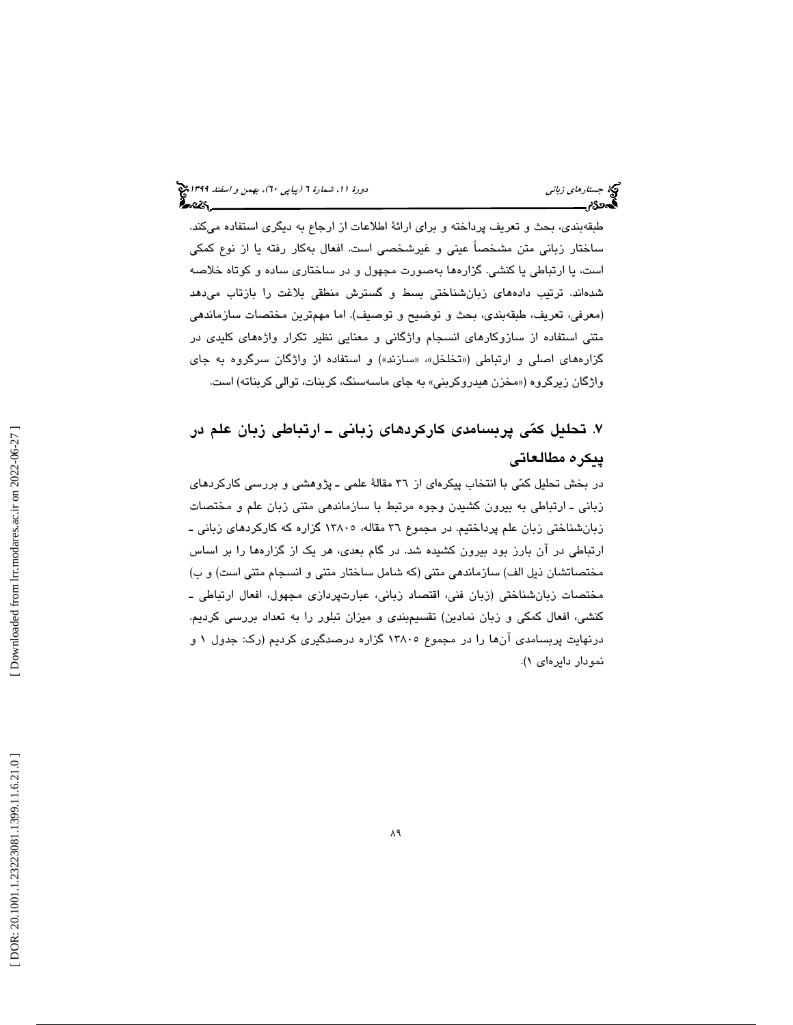طبقهبندي، بحث و تعريف پرداخته و براي ارائة اطلاعات از ارجاع به ديگري استفاده ميكند. ساختار زباني متن مشخصاً عيني و غيرشخصي است. افعال بهكار رفته يا از نوع كمكي است، يا ارتباطي يا كنشي. گزارهها بهصورت مجهول و در ساختاري ساده و كوتاه خلاصه شدهاند. ترتيب دادههاي زبانشناختي بسط و گسترش منطقي بلاغت را بازتاب ميدهد (معرفي، تعريف، طبقهبندي، بحث و توضيح و توصيف). اما مهمترين مختصات سازماندهي متني استفاده از سازوكارهاي انسجام واژگاني و معنايي نظير تكرار واژههاي كليدي در گزارههاي اصلي و ارتباطي («تخلخل «، » سازند») و استفاده از واژگان سرگروه به جاي واژگان زيرگروه («مخزن هيدروكربني» به جاي ماسهسنگ، كربنات، توالي كربناته) است.

. تحليل كمي پربسامدي كاركردهاي زباني ـ ارتباطي زبان علم در 7 پيكره مطالعاتي

در بخش تحليل كمي با انتخاب پيكرهاي از 36 مقالة علمي ـ پژوهشي و بررسي كاركردهاي زباني ـ ارتباطي به بيرون كشيدن وجوه مرتبط با سازماندهي متني زبان علم و مختصات زبانشناختي زبان علم پرداختيم. در مجموع 36 مقاله، 13805 گزاره كه كاركردهاي زباني ـ ارتباطي در آن بارز بود بيرون كشيده شد. در گام بعدي، هر يك از گزارهها را بر اساس مختصاتشان ذيل الف) سازماندهي متني (كه شامل ساختار متني و انسجام متني است) و ب) مختصات زبانشناختي (زبان فني، اقتصاد زباني، عبارتپردازي مجهول، افعال ارتباطي ـ كنشي، افعال كمكي و زبان نمادين) تقس يمبندي و ميزان تبلور را به تعداد بررسي كرديم. درنهايت پربسامدي آنها را در مجموع 13805 گزاره درصدگيري كرديم (رك: جدول و 1 نمودار دايرهاي )1.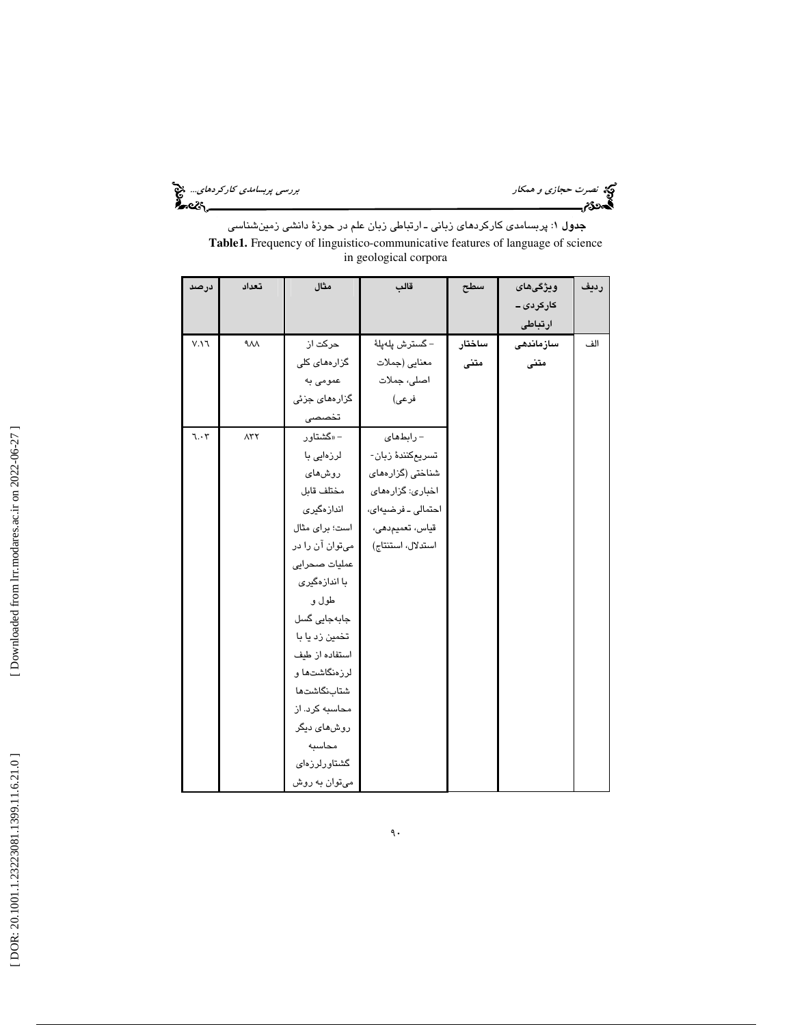نصرت حجازي و همكار بررسي پربسام*دي كاركردهاي...*. فتح<br>المص**ورة<br>المصورة بررسي بررسي كار** 

**جدول ۱**: پربسامدی کارکرد*ه*ای زبانی ــ ارتباطی زبان علم در حوزهٔ دانش*ی* زمینشناسی **Table1.** Frequency of linguistico-communicative features of language of science in geological corpora

| درصد                        | تعداد        | مثال                 | قالب               | سطح    | ويژگى هاى  | رديف |
|-----------------------------|--------------|----------------------|--------------------|--------|------------|------|
|                             |              |                      |                    |        | کارکردی ــ |      |
|                             |              |                      |                    |        | ارتباطى    |      |
| $V.\Upsilon$                | $\lambda$    | حرکت از              | – گسترش پلەپلە     | ساختار | سازماندهى  | الف  |
|                             |              | گزارەھا <i>ی</i> کلی | معنايي (جملات      | متنى   | متنى       |      |
|                             |              | عمومی به             | اصلی، جملات        |        |            |      |
|                             |              | گزارەھای جزئی        | فرعى)              |        |            |      |
|                             |              | تخصصى                |                    |        |            |      |
| $\mathbf{1}\cdot\mathbf{r}$ | $\Lambda$ ۳۲ | – «گشتاور            | - رابطهای          |        |            |      |
|                             |              | لرزەايى با           | تسريعكنندۀ زبان-   |        |            |      |
|                             |              | روشهای               | شناختی (گزارههای   |        |            |      |
|                             |              | مختلف قابل           | اخباری: گزارەھای   |        |            |      |
|                             |              | اندازەگىرى           | احتمالى ـ فرضيهاى، |        |            |      |
|                             |              | است؛ برای مثال       | قياس، تعميمدهي،    |        |            |      |
|                             |              | میتوان آن را در      | استدلال، استنتاج)  |        |            |      |
|                             |              | عملیات صحرایی        |                    |        |            |      |
|                             |              | با اندازهگیری        |                    |        |            |      |
|                             |              | طول و                |                    |        |            |      |
|                             |              | جابەجايى گسل         |                    |        |            |      |
|                             |              | تخمین زد یا با       |                    |        |            |      |
|                             |              | استفاده از طیف       |                    |        |            |      |
|                             |              | لرزەنگاشتەا و        |                    |        |            |      |
|                             |              | شتابنگاشتها          |                    |        |            |      |
|                             |              | محاسبه کرد. از       |                    |        |            |      |
|                             |              | روشهای دیگر          |                    |        |            |      |
|                             |              | محاسبه               |                    |        |            |      |
|                             |              | گشتاورلرزهای         |                    |        |            |      |
|                             |              | میتوان به روش        |                    |        |            |      |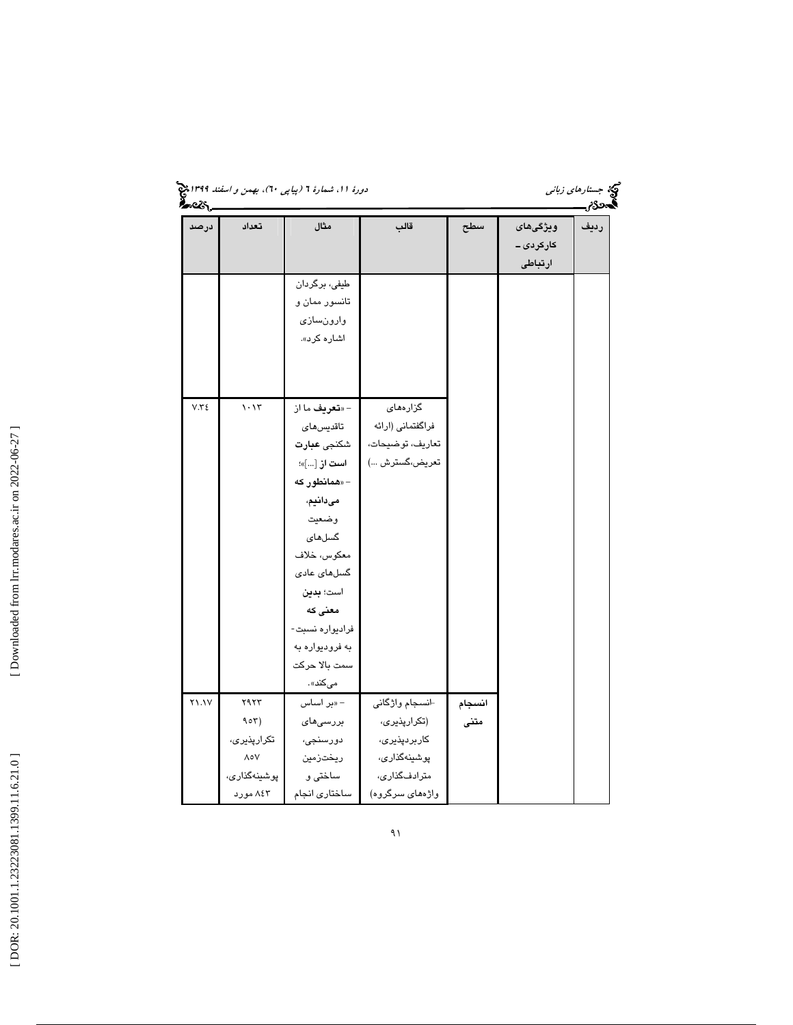| <u>ક્રિન્</u> ટર, |                                                                              | دورهٔ ۱۱، شمارهٔ ۲ (پیاپی ۲۰)، بهمن و اسفند ۱۳۹۹ چ                                                                                                                                                                                                |                                                                                                   |                |                                    | مچکه جست <i>ارهای زبانی</i><br>آحدي |
|-------------------|------------------------------------------------------------------------------|---------------------------------------------------------------------------------------------------------------------------------------------------------------------------------------------------------------------------------------------------|---------------------------------------------------------------------------------------------------|----------------|------------------------------------|-------------------------------------|
| درصد              | تعداد                                                                        | مثال                                                                                                                                                                                                                                              | قالب                                                                                              | سطح            | ويژگى هاى<br>کارکردی ــ<br>ارتباطى | رديف                                |
|                   |                                                                              | طیفی، برگردان<br>تانسور ممان و<br>وارونسازى<br>اشاره کرد».                                                                                                                                                                                        |                                                                                                   |                |                                    |                                     |
| V.Y'              | 1.15                                                                         | - « <b>تعريف</b> ما از<br>تاقديسهاى<br>شكنجى عبارت<br>ا <b>ست از</b> []»؛<br>– «همانطور که<br>مىدانيم،<br>وضعيت<br>گسلهای<br>معكوس، خلاف<br>گسلهای عادی<br>است؛ بدين<br>معنی که<br>فراديواره نسبت-<br>به فرودیواره به<br>سمت بالا حركت<br>مىكند». | گزارەھائ<br>فراگفتمانی (ارائه<br>تعاريف، توضيحات،<br>تعريض،گسترش )                                |                |                                    |                                     |
| <b>٢١.١</b>       | <b>7977</b><br>907)<br>تكرارپذيرى،<br><b>AoV</b><br>پوشينهگذارى،<br>۸٤۳ مورد | – «بر اساس<br>بررسى هاى<br>دورسنجى،<br>ريختزمين<br>ساختی و<br>ساختارى انجام                                                                                                                                                                       | انسجام واژگانی<br>(تکرارپذیری،<br>کاربردپذیری،<br>پوشینەگذارى،<br>مترادفگذاری،<br>واژەھای سرگروە) | انسجام<br>متنى |                                    |                                     |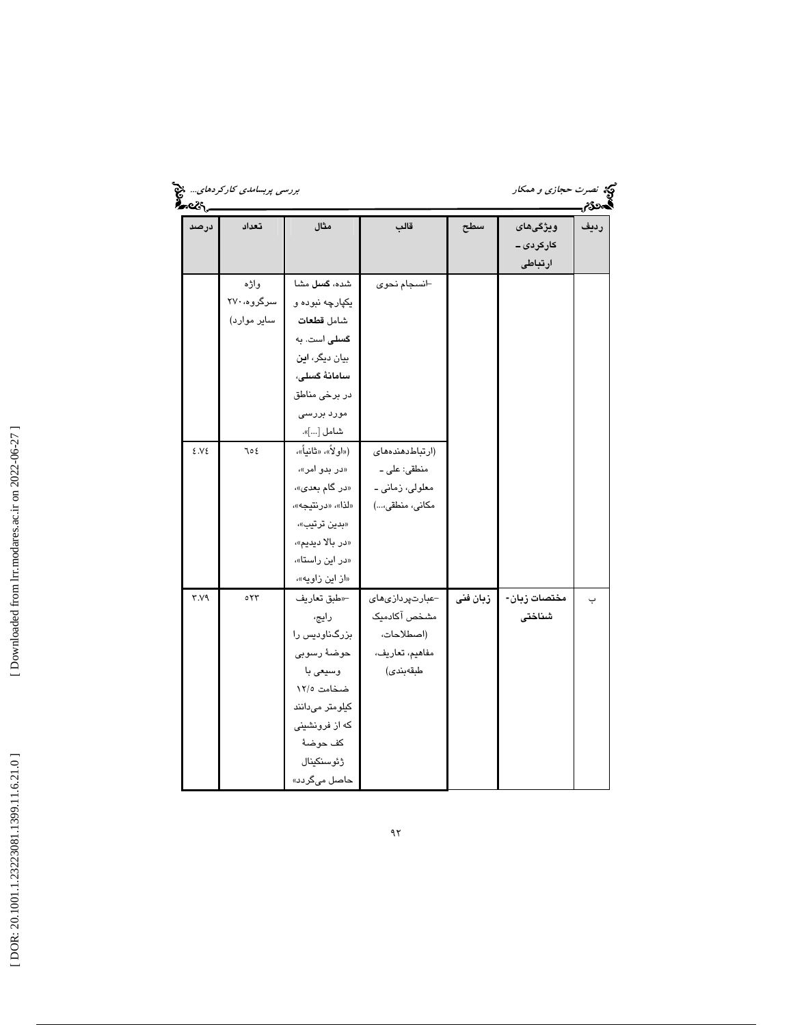| درصد    | تعداد             | مثال               | قالب                    | سطح      | ويژگى هاى    | رديف |
|---------|-------------------|--------------------|-------------------------|----------|--------------|------|
|         |                   |                    |                         |          | کارکردی ــ   |      |
|         |                   |                    |                         |          | ارتباطى      |      |
|         | واژه              | شده، گسل مشا       | ⊣نسجام نحوى             |          |              |      |
|         | سرگروه، ۲۷۰       | يکپارچه نبوده و    |                         |          |              |      |
|         | سایر موارد)       | شامل قطعات         |                         |          |              |      |
|         |                   | گسلی است. به       |                         |          |              |      |
|         |                   | بیان دیگر، این     |                         |          |              |      |
|         |                   | سامانهٔ گسلی،      |                         |          |              |      |
|         |                   | در برخی مناطق      |                         |          |              |      |
|         |                   | مورد بررسی         |                         |          |              |      |
|         |                   | شامل []».          |                         |          |              |      |
| 2.12    | ع 10              | («اولأ»، «ثانياً»، | (ارتباط دهندههای        |          |              |      |
|         |                   | «در بدو امر»،      | منطقى: على ـ            |          |              |      |
|         |                   | «در گام بعدی»،     | معلولي، زماني ۔         |          |              |      |
|         |                   | «لذا»، «درنتيجه»،  | مكانى، منطقى،)          |          |              |      |
|         |                   | «بدين ترتيب»،      |                         |          |              |      |
|         |                   | «در بالا ديديم»،   |                         |          |              |      |
|         |                   | «در این راستا»،    |                         |          |              |      |
|         |                   | «از این زاویه»،    |                         |          |              |      |
| $Y.Y$ ۹ | $\circ \tau \tau$ | ⊣«طبق تعاريف       | -عبارتپردازی <i>های</i> | زبان فنى | مختصات زبان- | ب    |
|         |                   | رايج،              | مشخص آكادميك            |          | شناختى       |      |
|         |                   | بزرگناودیس را      | (اصطلاحات،              |          |              |      |
|         |                   | حوضهٔ رسوبی        | مفاهيم، تعاريف،         |          |              |      |
|         |                   | وسيعي با           | طبقەبندى)               |          |              |      |
|         |                   | ضخامت ١٢/٥         |                         |          |              |      |
|         |                   | کیلومتر میدانند    |                         |          |              |      |
|         |                   | که از فرونشینی     |                         |          |              |      |
|         |                   | كف حوضهٔ           |                         |          |              |      |
|         |                   | ژئوسنکینال         |                         |          |              |      |
|         |                   | حاصل میگردد»       |                         |          |              |      |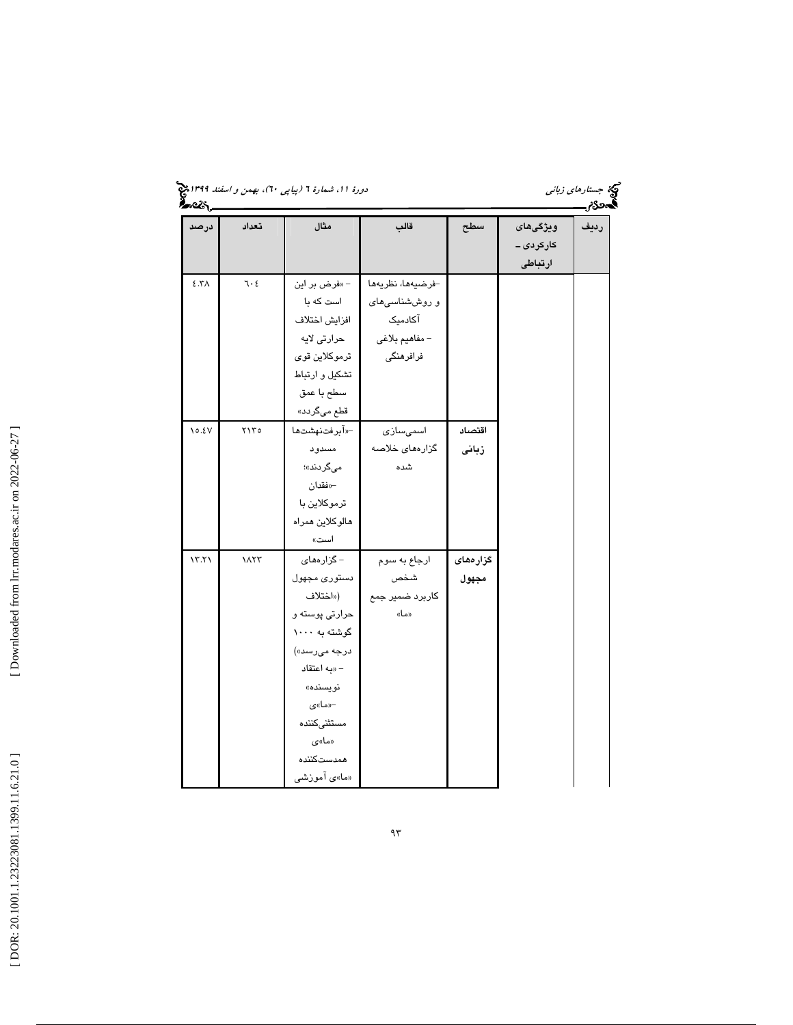| ورهٔ ۱۱، شمارهٔ ۲ (پیاپی ۲۰)، بهمن و <i>اسفند ۱۳۹۹هج</i><br>مستقیم<br><b>مستقیم</b> |  |  |
|-------------------------------------------------------------------------------------|--|--|
|                                                                                     |  |  |

جب ستار*هاي زباني*<br>جستاره*اي زباني*<br>**گست3ن شمار** 

| درصد                     | تعداد                 | مثال            | قالب              | سطح      | ويژگى هاى | رديف |
|--------------------------|-----------------------|-----------------|-------------------|----------|-----------|------|
|                          |                       |                 |                   |          | کارکردی۔  |      |
|                          |                       |                 |                   |          | ارتباطى   |      |
| $\S$ .<br>Y<br>$\Lambda$ | 7.5                   | - «فرض بر این   | -فرضيهها، نظريهها |          |           |      |
|                          |                       | است که با       | و روششناسی های    |          |           |      |
|                          |                       | افزايش اختلاف   | آکادمیک           |          |           |      |
|                          |                       | حرارتی لایه     | - مفاهيم بلاغي    |          |           |      |
|                          |                       | ترموكلاين قوى   | فرافرهنگی         |          |           |      |
|                          |                       | تشكيل و ارتباط  |                   |          |           |      |
|                          |                       | سطح با عمق      |                   |          |           |      |
|                          |                       | قطع میگردد»     |                   |          |           |      |
| 10.5V                    | $Y \setminus Y \circ$ | -«آبرفتنهشتها   | اسمىسازى          | اقتصاد   |           |      |
|                          |                       | مسدود           | گزارەھای خلاصە    | زبانى    |           |      |
|                          |                       | مىگردند»؛       | شده               |          |           |      |
|                          |                       | –«فقدان         |                   |          |           |      |
|                          |                       | ترموكلاين با    |                   |          |           |      |
|                          |                       | هالوكلاين همراه |                   |          |           |      |
|                          |                       | است»            |                   |          |           |      |
| 17.71                    | ١٨٢٣                  | – گزارەھائ      | ارجاع به سوم      | گزارەھاى |           |      |
|                          |                       | دستوري مجهول    | شخص               | مجهول    |           |      |
|                          |                       | («اختلاف        | كاربرد ضمير جمع   |          |           |      |
|                          |                       | حرارتی پوسته و  | «ما»              |          |           |      |
|                          |                       | گوشته به ۱۰۰۰   |                   |          |           |      |
|                          |                       | درجه میرسد»)    |                   |          |           |      |
|                          |                       | - «به اعتقاد    |                   |          |           |      |
|                          |                       | نويسنده»        |                   |          |           |      |
|                          |                       | –«ما»ی          |                   |          |           |      |
|                          |                       | مستثنىكننده     |                   |          |           |      |
|                          |                       | «ما»ی           |                   |          |           |      |
|                          |                       | همدستكننده      |                   |          |           |      |
|                          |                       | «ما»ی آموزشی    |                   |          |           |      |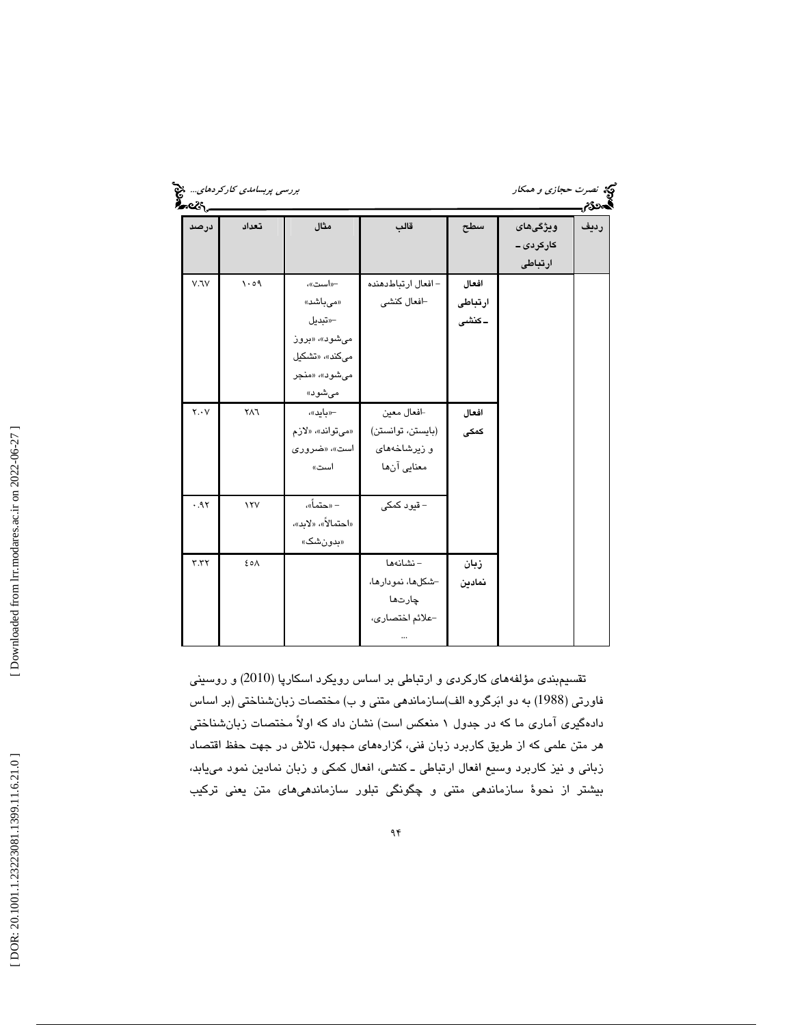|             | برر <i>سی پربسامدی کارکردهای</i> چنی<br>مستقل کرده در دیگر<br>مستقل کرده |                                                                                              |                                                                |                           | <b>کې</b> نصرت حج <i>ازی و همکار</i> | فحمر |
|-------------|--------------------------------------------------------------------------|----------------------------------------------------------------------------------------------|----------------------------------------------------------------|---------------------------|--------------------------------------|------|
| درصد        | تعداد                                                                    | مثال                                                                                         | قالب                                                           | سطح                       | ويژگى هاى<br>کارکردی ــ<br>ارتباطى   | رديف |
| V. V        | 1.09                                                                     | -«است»،<br>«مىباشد»<br>—«تبديل<br>میشود»، «بروز<br>میکند»، «تشکیل<br>میشود»، «منجر<br>مىشود» | – افعال ارتباطدهنده<br>-افعال كنشى                             | افعال<br>ارتباطى<br>۔کنشی |                                      |      |
| $Y \cdot Y$ | ٢٨٦                                                                      | –«باید»،<br>«مىتواند»، «لازم<br>است»، «ضروری<br>است»                                         | افعال معين<br>(بايستن، توانستن)<br>و زیرشاخههای<br>معنايي آنها | افعال<br>كمكى             |                                      |      |
| .91         | $\lambda$                                                                | – «حتماً»،<br>«احتمالاً»، «لابد»،<br>«بدونشک»                                                | – قیود کمکی                                                    |                           |                                      |      |
| Y.YY        | ٤٥٨                                                                      |                                                                                              | – نشانهها<br>-شكلها، نمودارها،<br>چارتھا<br>-علائم اختصارى،    | زبان<br>نمادين            |                                      |      |

تقسيمبندي مؤلفههاي كاركردي و ارتباطي بر اساس رويكرد اسكارپا (2010) و روسيني فاورتي (1988) به دو ابرگروه الف)سازماندهي متني و ب) مختصات زبانشناختي (بر اساس دادهگيري آماري ما كه در جدول 1 منعكس است) نشان داد كه اولاً مختصات زبانشناختي هر متن علمي كه از طريق كاربرد زبان فني، گزارههاي مجهول، تلاش در جهت حفظ اقتصاد زباني و نيز كاربرد وسيع افعال ارتباطي ـ كنشي، افعال كمكي و زبان نمادين نمود مييابد، بيشتر از نحوة سازماندهي متني و چگونگي تبلور سازماندهيهاي متن يعني تركيب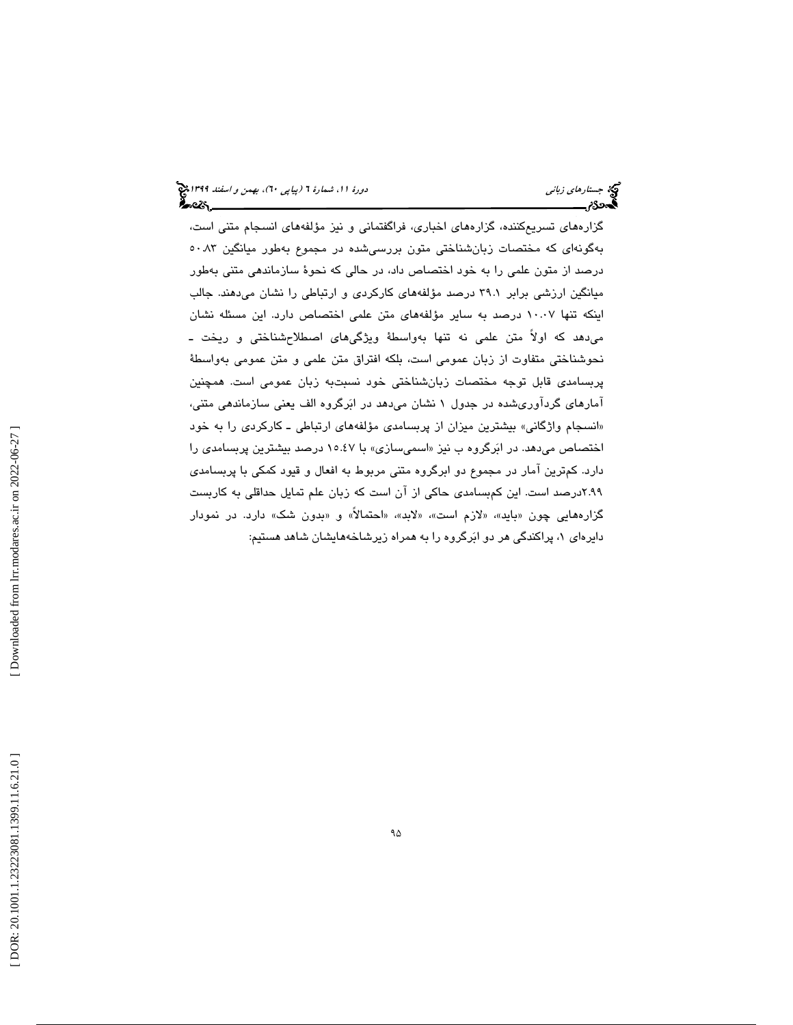گزارههاي تسريعكننده، گزارههاي اخباري، فراگفتماني و نيز مؤلفههاي انسجام متني است، بهگونهاي كه مختصات زبانشناختي متون بررسيشده در مجموع بهطور ميانگين 50.83 درصد از متون علمي را به خود اختصاص داد، در حالي كه نحوة سازماندهي متني بهطور ميانگين ارزشي برابر 39.1 درصد مؤلفههاي كاركردي و ارتباطي را نشان ميدهند. جالب اينكه تنها 10.07 درصد به ساير مؤلفههاي متن علمي اختصاص دارد. اين مسئله نشان ميدهد كه اولاً متن علمي نه تنها بهواسطة ويژگيهاي اصطلاحشناختي و ريخت ـ نحوشناختي متفاوت از زبان عمومي است، بلكه افتراق متن علمي و متن عمومي بهواسطة پربسامدي قابل توجه مختصات زبانشناختي خود نسبتبه زبان عمومي است. همچنين آمارهاي گردآوريشده در جدول 1 نشان ميدهد در ابرگروه الف يعني سازماندهي متني، انسجام واژگاني» بيشترين ميزان از پربسامدي مؤلفههاي ارتباطي ـ كاركردي را به خود » اختصاص میدهد. در ابَرگروه ب نيز «اسمیسازی» با ۱۰.٤۷ درصد بيشترين پربسامدی را دارد. كمترين آمار در مجموع دو ابرگروه متني مربوط به افعال و قيود كمكي با پربسامدي 2.99درصد است. اين كمبسامدي حاكي از آن است كه زبان علم تمايل حداقلي به كاربست گزارههايي چون «بايد»، «لازم است»، «لابد»، «احتمالاً» و «بدون شک» دارد. در نمودار ، پراكندگي هر دو ابرگروه را به همراه زيرشاخههايشان شاهد هستيم: دايرهاي 1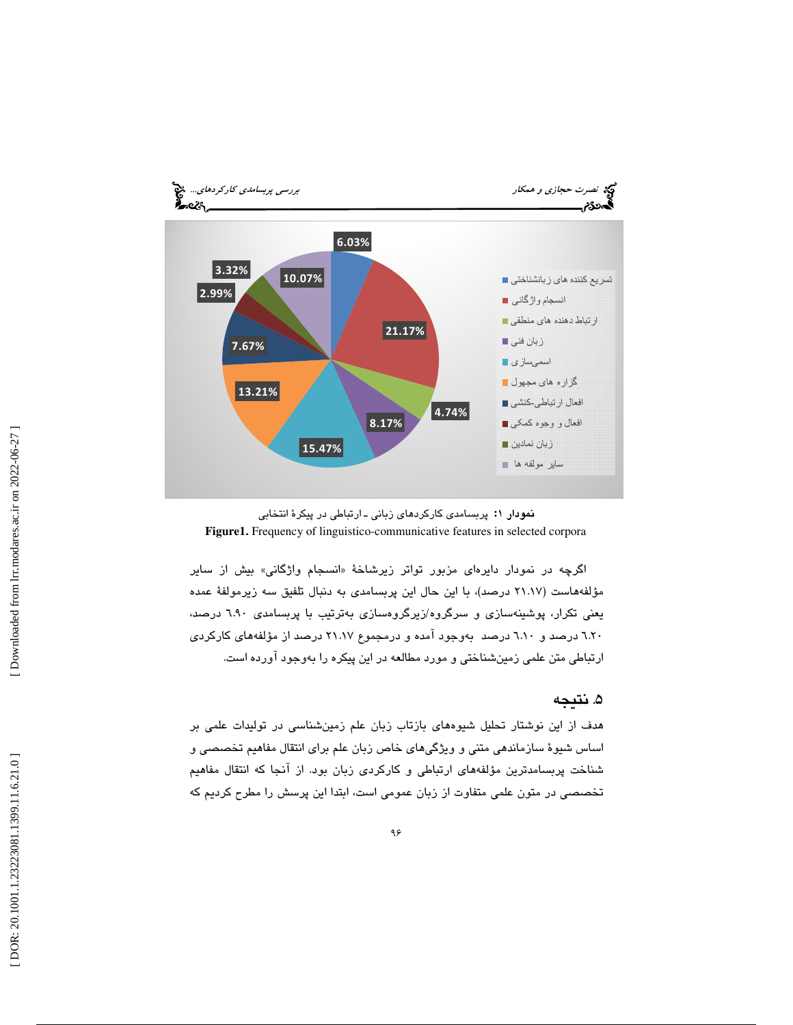



اگرچه در نمودار دايرها*ی* مزبور تواتر زيرشاخهٔ «انسجام واژگانی» بيش از ساير مؤلفههاست (21.17 درصد)، با اين حال اين پربسامدي به دنبال تلفيق سه زيرمولفة عمده يعني تكرار، پوشينهسازي و سرگروه/زيرگروهسازي بهترتيب با پربسامدي 6.90 درصد، 6.20 درصد و 6.10 درصد بهوجود آمده و درمجموع 21.17 درصد از مؤلفههاي كاركردي ارتباطي متن علمي زمينشناختي و مورد مطالعه در اين پيكره را بهوجود آورده است.

#### 5. نتيجه

هدف از اين نوشتار تحليل شيوههاي بازتاب زبان علم زمينشناسي در توليدات علمي بر اساس شيوة سازماندهي متني و ويژگيهاي خاص زبان علم براي انتقال مفاهيم تخصصي و شناخت پربسامدترين مؤلفههاي ارتباطي و كاركردي زبان بود. از آنجا كه انتقال مفاهيم تخصصي در متون علمي متفاوت از زبان عمومي است، ابتدا اين پرسش را مطرح كرديم كه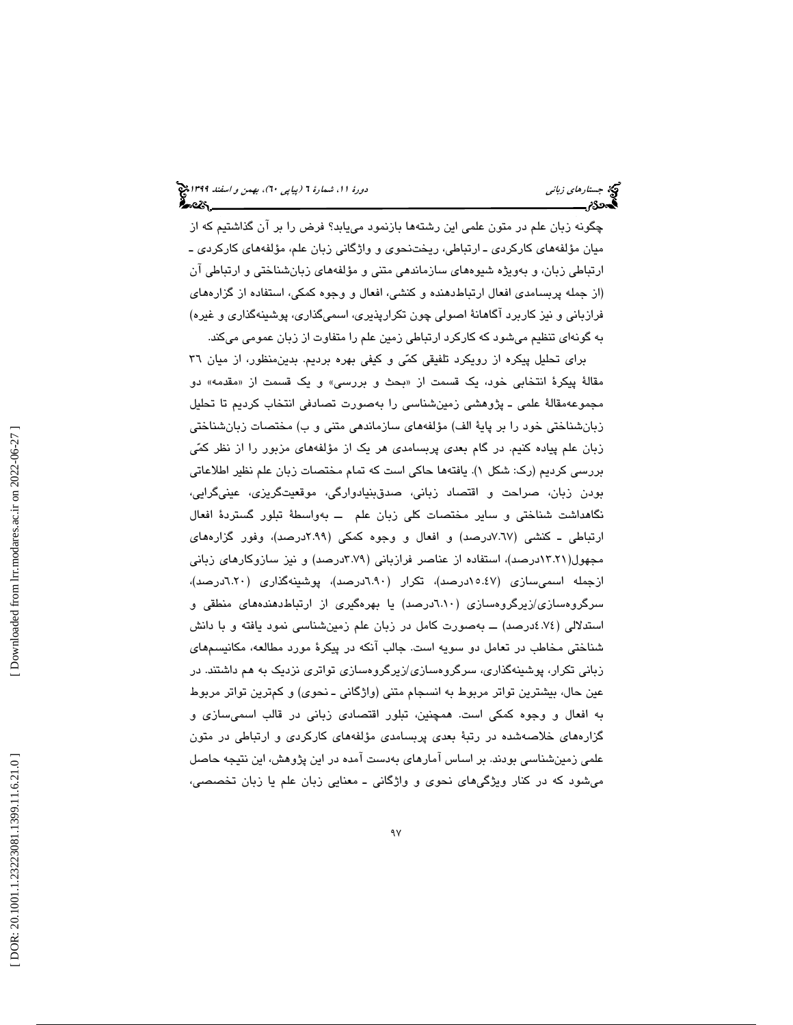چگونه زبان علم در متون علمي اين رشتهها بازنمود مييابد؟ فرض را بر آن گذاشتيم كه از ميان مؤلفههاي كاركردي ـ ارتباطي، ريختنحوي و واژگاني زبان علم، مؤلفههاي كاركردي ـ ارتباطي زبان، و بهويژه شيوههاي سازماندهي متني و مؤلفههاي زبانشناختي و ارتباطي آن (از جمله پربسامدي افعال ارتباطدهنده و كنشي، افعال و وجوه كمكي، استفاده از گزارههاي فرازباني و نيز كاربرد آگاهانة اصولي چون تكرارپذيري، اسميگذاري، پوشينهگذاري و غيره) به گونهاي تنظيم ميشود كه كاركرد ارتباطي زمين علم را متفاوت از زبان عمومي ميكند.

براي تحليل پيكره از رويكرد تلفيقي كمي و كيفي بهره برديم. بدينمنظور، از ميان 36 مقالهٔ پیکرهٔ انتخابی خود، یک قسمت از «بحث و بررسی» و یک قسمت از «مقدمه» دو مجموعهمقالة علمي ـ پژوهشي زمينشناسي را بهصورت تصادفي انتخاب كرديم تا تحليل زبانشناختي خود را بر پاية الف) مؤلفههاي سازماندهي متني و ب) مختصات زبانشناختي زبان علم پياده كنيم. در گام بعدي پربسامدي هر يك از مؤلفههاي مزبور را از نظر كمي بررسی کردیم (رک: شکل ۱). یافتهها حاکی است که تمام مختصات زبان علم نظیر اطلاعاتی بودن زبان، صراحت و اقتصاد زباني، صدقبنيادوارگي، موقعيتگريزي، عينيگرايي، نگاهداشت شناختي و ساير مختصات كلي زبان علم ــ بهواسطة تبلور گستردة افعال ارتباطي ـ كنشي (7.67درصد) و افعال و وجوه كمكي (2.99درصد)، وفور گزارههاي مجهول(13.21درصد)، استفاده از عناصر فرازباني (3.79درصد) و نيز سازوكارهاي زباني ازجمله اسميسازي (15.47درصد)، تكرار (6.90 گ درصد)، پوشينه ذاري (6.20درصد)، سرگروهسازي/زيرگروهسازي (6.10درصد) يا بهرهگيري از ارتباطدهندههاي منطقي و استدلالي (4.74درصد) ــ بهصورت كامل در زبان علم زمينشناسي نمود يافته و با دانش شناختي مخاطب در تعامل دو سويه است. جالب آنكه در پيكرة مورد مطالعه، مكانيسمهاي زباني تكرار، پوشينهگذاري، سرگروهسازي/زيرگروهسازي تواتري نزديك به هم داشتند. در عين حال، بيشترين تواتر مربوط به انسجام متني (واژگاني ـ نحوي) و كمترين تواتر مربوط به افعال و وجوه كمكي است. همچنين، تبلور اقتصادي زباني در قالب اسميسازي و گزارههاي خلاصهشده در رتبة بعدي پربسامدي مؤلفههاي كاركردي و ارتباطي در متون علمي زمينشناسي بودند. بر اساس آمارهاي بهدست آمده در اين پژوهش، اين نتيجه حاصل ميشود كه در كنار ويژگيهاي نحوي و واژگاني ـ معنايي زبان علم يا زبان تخصصي،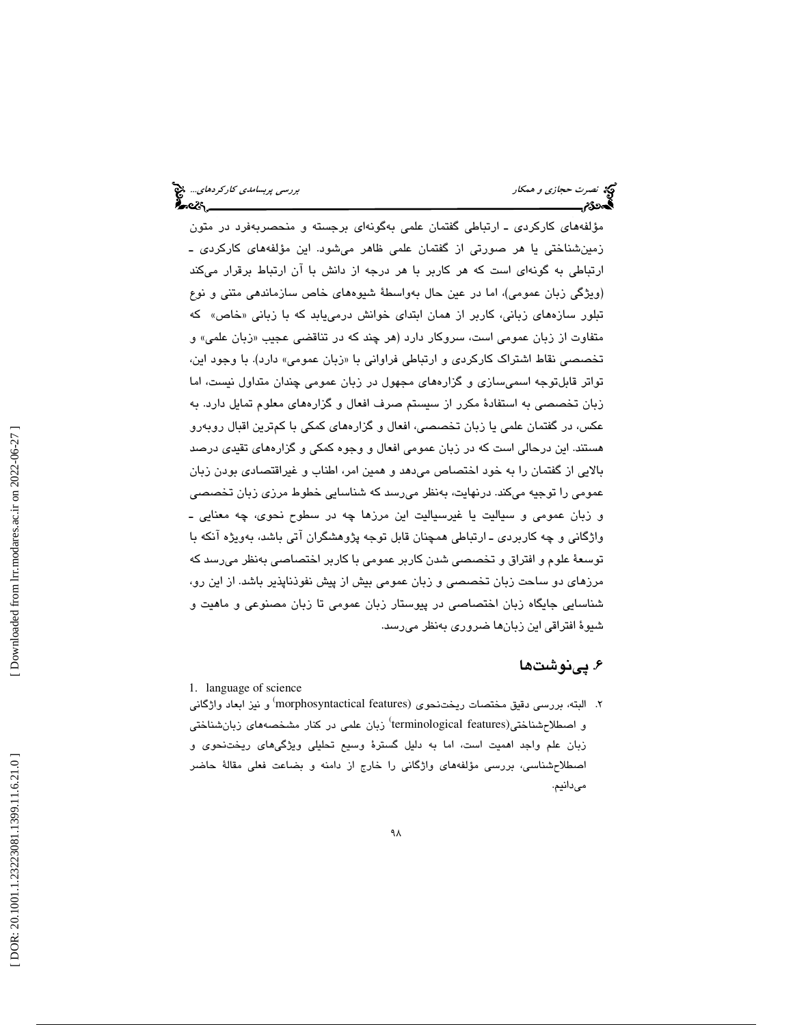مؤلفههاي كاركردي ـ ارتباطي گفتمان علمي بهگونهاي برجسته و منحصربهفرد در متون زمينشناختي يا هر صورتي از گفتمان علمي ظاهر ميشود. اين مؤلفههاي كاركردي ـ ارتباطي به گونهاي است كه هر كاربر با هر درجه از دانش با آن ارتباط برقرار ميكند (ويژگي زبان عمومي)، اما در عين حال بهواسطة شيوههاي خاص سازماندهي متني و نوع تبلور سازههای زبانی، كاربر از همان ابتدای خوانش درمییابد كه با زبانی «خاص» كه متفاوت از زبان عمومی است، سروکار دارد (هر چند که در تناقضی عجیب «زبان علمی» و تخصصي نقاط اشتراک کارکردي و ارتباطي فراواني با «زبان عمومي» دارد). با وجود اين، تواتر قابلتوجه اسميسازي و گزارههاي مجهول در زبان عمومي چندان متداول نيست، اما بان تخصصي به استفادة مكرر از سيستم صرف افعال و گزارههاي معلوم تمايل دارد. به ز عكس، در گفتمان علمي يا زبان تخصصي، افعال و گزارههاي كمكي با كمترين اقبال روبهرو هستند. اين درحالي است كه در زبان عمومي افعال و وجوه كمكي و گزارههاي تقيدي درصد بالايي از گفتمان را به خود اختصاص ميدهد و همين امر، اطناب و غيراقتصادي بودن زبان عمومي را توجيه ميكند. درنهايت، بهنظر ميرسد كه شناسايي خطوط مرزي زبان تخصصي و زبان عمومي و سياليت يا غيرسياليت اين مرزها چه در سطوح نحوي، چه معنايي ـ واژگاني و چه كاربردي ـ ارتباطي همچنان قابل توجه پژوهشگران آتي باشد، بهويژه آنكه با توسعة علوم و افتراق و تخصصي شدن كاربر عمومي با كاربر اختصاصي بهنظر ميرسد كه مرزهاي دو ساحت زبان تخصصي و زبان عمومي بيش از پيش نفوذناپذير باشد. از اين رو، شناسايي جايگاه زبان اختصاصي در پيوستار زبان عمومي تا زبان مصنوعي و ماهيت و شيوة افتراقي اين زبانها ضروري بهنظر ميرسد.

## 6. پينوشتها

1. language of science

۲. البته، بررسی دقیق مختصات ریختنحوی (morphosyntactical features<sup>)</sup> و نیز ابعاد واژگانی و اصطلاح شناختی(terminological features) زبان علمی در کنار مشخصههای زبان شناختی زبان علم واجد اهميت است، اما به دليل گسترة وسيع تحليلي ويژگيهاي ريختنحوي و صطلاحشناسي، بررسي مؤلفههاي واژگاني را خارج از دامنه و بضاعت فعلي مقالة حاضر ا ميدانيم.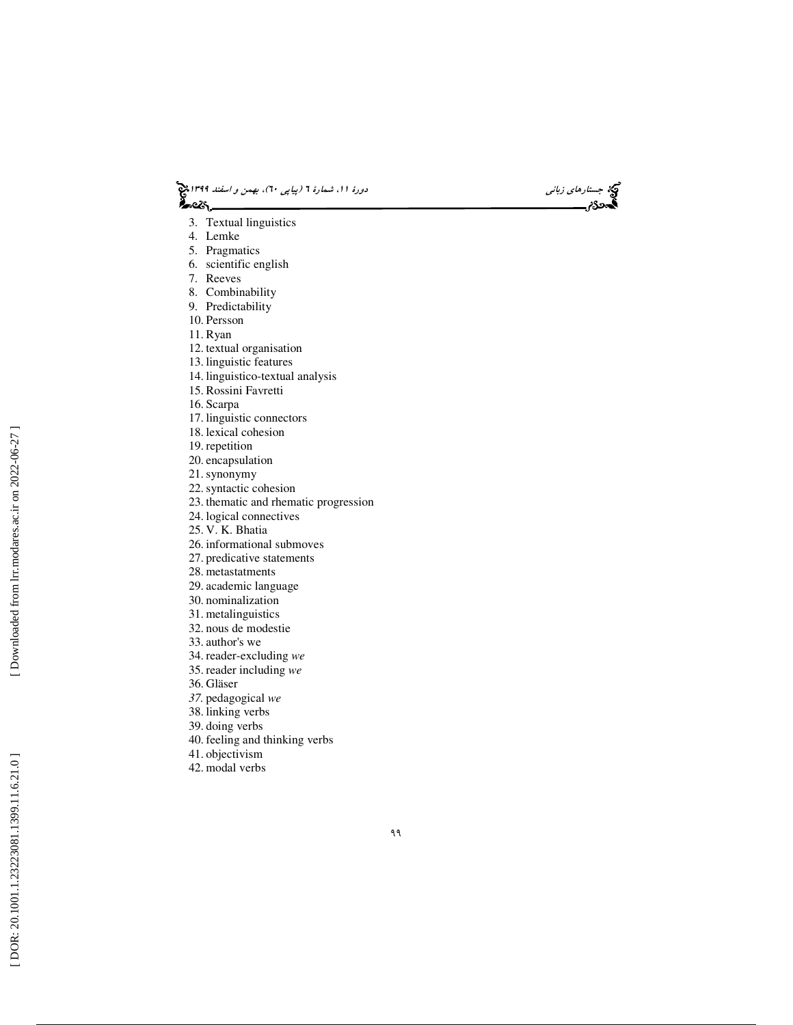



- 3. Textual linguistics
- 4. Lemke
- 5. Pragmatics
- 6. scientific english
- 7. Reeves
- 8. Combinability
- 9. Predictability
- 10. Persson
- 11. Ryan
- 12. textual organisation
- 13. linguistic features
- 14. linguistico-textual analysis
- 15. Rossini Favretti
- 16. Scarpa
- 17. linguistic connectors
- 18. lexical cohesion
- 19. repetition
- 20. encapsulation
- 21.synonymy
- 22.syntactic cohesion
- 23. thematic and rhematic progression
- 24. logical connectives
- 25. V. K. Bhatia
- 26. informational submoves
- 27. predicative statements
- 28. metastatments
- 29. academic language
- 30. nominalization
- 31. metalinguistics
- 32. nous de modestie
- 33. author's we
- 34. reader-excluding *we*
- 35. reader including *we*
- 36. Gläser
- *37.* pedagogical *we*
- 38. linking verbs
- 39. doing verbs
- 40. feeling and thinking verbs
- 41. objectivism
- 42. modal verbs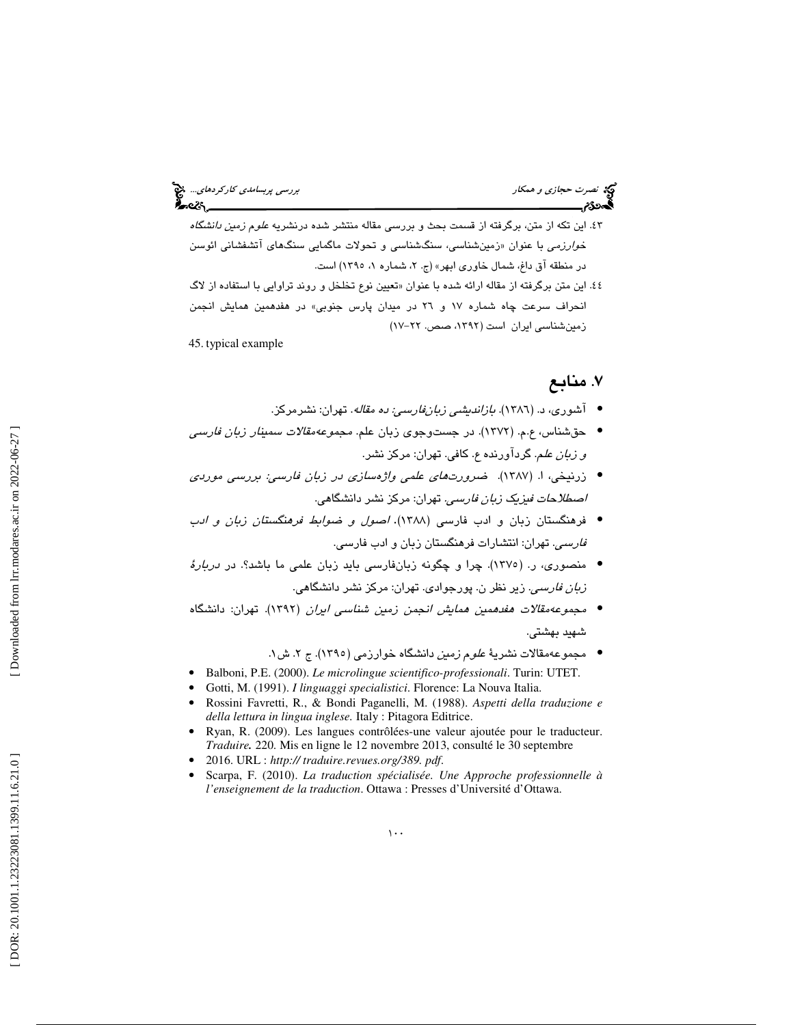# نصرت حج*ازي و همكار بررسي پربسامدي كاركردهاي..*. چ<mark>ي</mark><br>الصحافة<br>الصحافة *بررسي بررسي بررسي بررسي بررسي بربسامدي بررسي كاركردهاي... چي*

- 43. اين تكه از متن، برگرفته از قسمت بحث و بررسي مقاله منتشر شده درنشريه علوم زمين دانشگاه خ*وارزمي* با عنوان «زمينشناسي، سنگشناسي و تحولات ماگمايي سنگهاي آتشفشاني ائوسن در منطقه آق داغ، شمال خاوری ابهر» (ج. ۲، شماره ۱، ۱۳۹۵) است.
- ٤٤. اين متن برگرفته از مقاله ارائه شده با عنوان «تعيين نوع تخلخل و روند تراوايي با استفاده از لاگ انحراف سرعت چاه شماره 17 و 26 در ميدان پارس جنوبي» در هفدهمين همايش انجمن زمين شناسي ايران است (١٣٩٢، صص. ٢٢-١٧)

45. typical example

# 7. منابع

- آشوری، د. (١٣٨٦). *بازاندیشی زبانفارسی: ده مقاله*. تهران: نشرمرکز.
- حقشناس، ع.م. (١٣٧٢). در جستوجوي زبان علم. *مجموعه مقالات سمينار زبان فارسي* و زبان علم. گردآورنده ع. كافي. تهران: مركز نشر.
- زرنيخي، ا. (١٣٨٧). ضرورت *هاي علمي واژهسازي در زبان فارسي: بررسي موردي اصطلاحات فيزيک زبان فارسي.* تهران: مرکز نشر دانشگاهي.
- فرهنگستان زبان و ادب فارسي (1388). اصول و ضوابط فرهنگستان زبان و ادب فارسي. تهران: انتشارات فرهنگستان زبان و ادب فارسي.
- منصوری، ر. (١٣٧٥). چرا و چگونه زبانفارسی باید زبان علمی ما باشد؟. در *دربارهٔ* ز*بان فارسي*. زير نظر ن. پورجوادي. تهران: مركز نشر دانشگاهي.
- مجموعهمقالات هفدهمين همايش انجمن زمين شناسي ايران ( 1392). تهران: دانشگاه شهيد بهشتي.
	- مجموعهمقالات نشريهٔ *علوم زمين د*انشگاه خوارزمي (١٣٩٥). ج ۲. ش ۱.
- Balboni, P.E. (2000). *Le microlingue scientifico-professionali*. Turin: UTET.<br>• Gotti, M. (1991). *I linguaggi specialistici*. Florence: La Nouva Italia.<br>• Rossini Favretti, R., & Bondi Paganelli, M. (1988). *Aspetti de*
- 
- *della lettura in lingua inglese.* Italy : Pitagora Editrice.
- Ryan, R. (2009). Les langues contrôlées-une valeur ajoutée pour le traducteur. *Traduire .* 220. Mis en ligne le 12 novembre 2013, consulté le 30 septembre
- 
- 2016. URL : *http:// traduire.revues.org/389. pdf*. Scarpa, F. (2010). *La traduction spécialisée. Une Approche professionnelle à*  l'enseignement de la traduction. Ottawa : Presses d'Université d'Ottawa.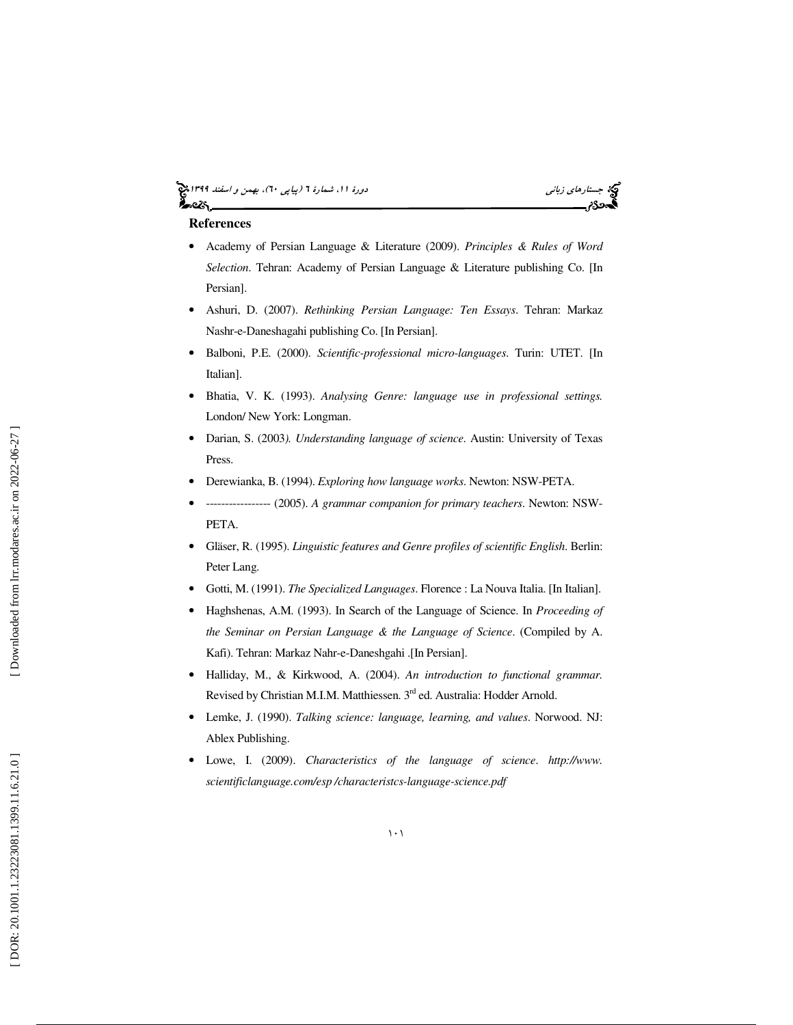# جستار*هاي زباني (بياپي 60)، بهمن و اسفند 1*398 هجرا بياني دورة 11، شمارة 1 (پياپي ٢٠)، بهم*ن و اسفند 1*394 هج



#### **References**

- Academy of Persian Language & Literature (2009). *Principles & Rules of Word Selection*. Tehran: Academy of Persian Language & Literature publishing Co. [In Persian].
- Ashuri, D. (2007). *Rethinking Persian Language: Ten Essays*. Tehran: Markaz Nashr-e-Daneshagahi publishing Co. [In Persian].
- Balboni, P.E. (2000). *Scientific-professional micro-languages*. Turin: UTET. [In Italian].
- Bhatia, V. K. (1993). *Analysing Genre: language use in professional settings.* London/ New York: Longman.
- Darian, S. (2003*). Understanding language of science*. Austin: University of Texas Press.
- Derewianka, B. (1994). *Exploring how language works*. Newton: NSW-PETA.
- ----------------- (2005). *A grammar companion for primary teachers*. Newton: NSW-PETA.
- Gläser, R. (1995). *Linguistic features and Genre profiles of scientific English*. Berlin: Peter Lang.
- Gotti, M. (1991). *The Specialized Languages*. Florence : La Nouva Italia. [In Italian].
- Haghshenas, A.M. (1993). In Search of the Language of Science. In *Proceeding of the Seminar on Persian Language & the Language of Science*. (Compiled by A. Kafi). Tehran: Markaz Nahr-e-Daneshgahi .[In Persian].
- Halliday, M., & Kirkwood, A. (2004). *An introduction to functional grammar.*  Revised by Christian M.I.M. Matthiessen. 3<sup>rd</sup> ed. Australia: Hodder Arnold.
- Lemke, J. (1990). *Talking science: language, learning, and values*. Norwood. NJ: Ablex Publishing.
- Lowe, I. (2009). *Characteristics of the language of science*. *http://www. scientificlanguage.com/esp /characteristcs-language-science.pdf*